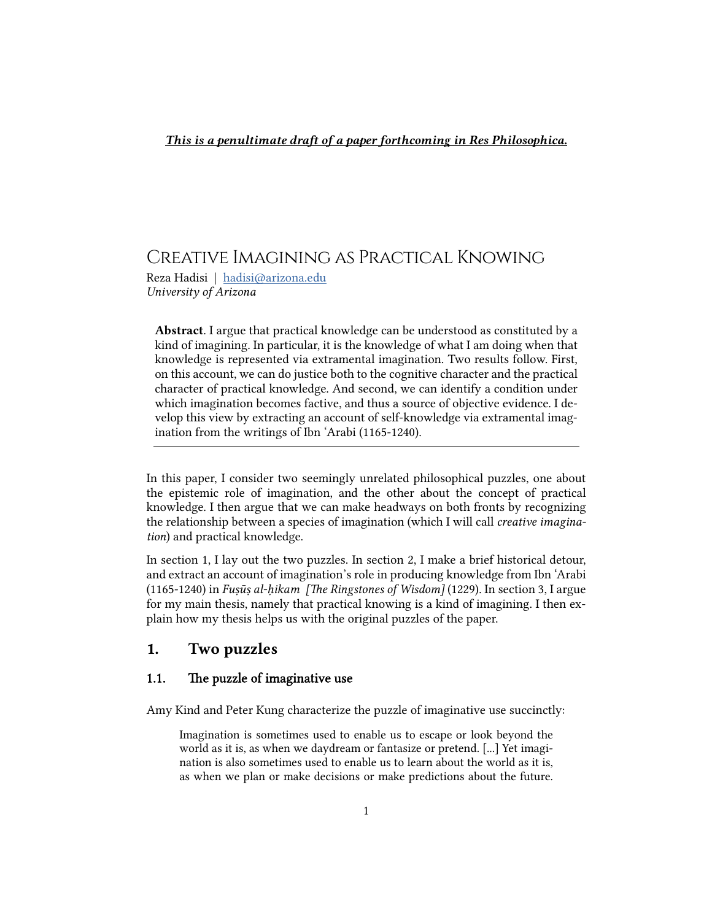# Creative Imagining as Practical Knowing

Reza Hadisi | [hadisi@arizona.edu](mailto:hadisi@arizona.edu) *University of Arizona*

Abstract. I argue that practical knowledge can be understood as constituted by a kind of imagining. In particular, it is the knowledge of what I am doing when that knowledge is represented via extramental imagination. Two results follow. First, on this account, we can do justice both to the cognitive character and the practical character of practical knowledge. And second, we can identify a condition under which imagination becomes factive, and thus a source of objective evidence. I develop this view by extracting an account of self-knowledge via extramental imagination from the writings of Ibn 'Arabi (1165-1240).

In this paper, I consider two seemingly unrelated philosophical puzzles, one about the epistemic role of imagination, and the other about the concept of practical knowledge. I then argue that we can make headways on both fronts by recognizing the relationship between a species of imagination (which I will call *creative imagination*) and practical knowledge.

In section 1, I lay out the two puzzles. In section 2, I make a brief historical detour, and extract an account of imagination's role in producing knowledge from Ibn 'Arabi (1165-1240) in *Fuṣūṣ al-ḥikam [e Ringstones of Wisdom]* (1229)*.* In section 3, I argue for my main thesis, namely that practical knowing is a kind of imagining. I then explain how my thesis helps us with the original puzzles of the paper.

## 1. Two puzzles

#### 1.1. The puzzle of imaginative use

Amy Kind and Peter Kung characterize the puzzle of imaginative use succinctly:

Imagination is sometimes used to enable us to escape or look beyond the world as it is, as when we daydream or fantasize or pretend. [...] Yet imagination is also sometimes used to enable us to learn about the world as it is, as when we plan or make decisions or make predictions about the future.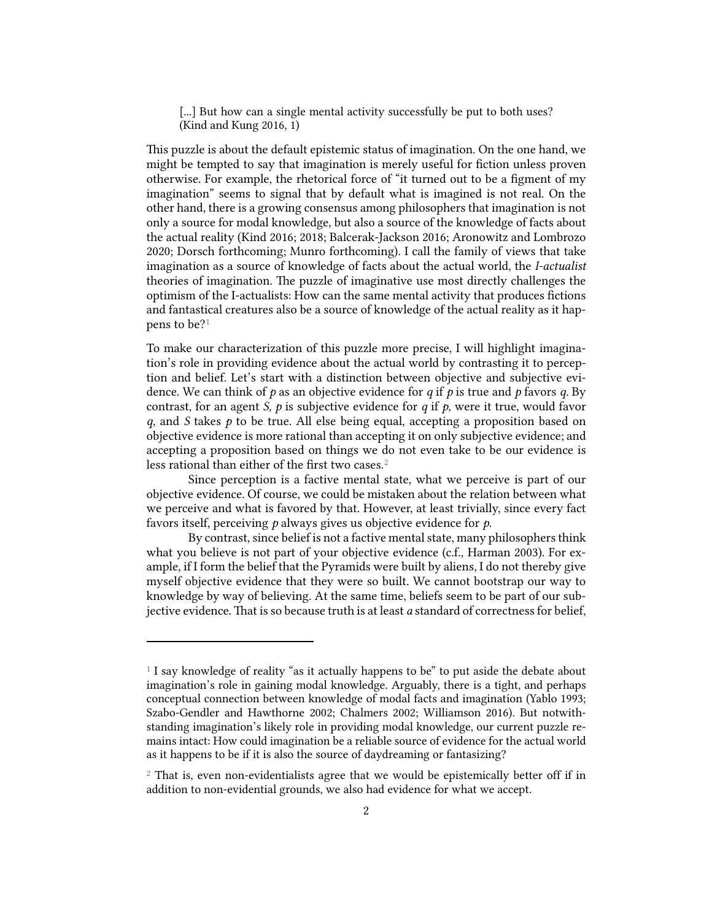[...] But how can a single mental activity successfully be put to both uses? (Kind and Kung 2016, 1)

This puzzle is about the default epistemic status of imagination. On the one hand, we might be tempted to say that imagination is merely useful for fiction unless proven otherwise. For example, the rhetorical force of "it turned out to be a figment of my imagination" seems to signal that by default what is imagined is not real. On the other hand, there is a growing consensus among philosophers that imagination is not only a source for modal knowledge, but also a source of the knowledge of facts about the actual reality (Kind 2016; 2018; Balcerak-Jackson 2016; Aronowitz and Lombrozo 2020; Dorsch forthcoming; Munro forthcoming). I call the family of views that take imagination as a source of knowledge of facts about the actual world, the *I-actualist* theories of imagination. The puzzle of imaginative use most directly challenges the optimism of the I-actualists: How can the same mental activity that produces fictions and fantastical creatures also be a source of knowledge of the actual reality as it happens to be?[1](#page-1-0)

To make our characterization of this puzzle more precise, I will highlight imagination's role in providing evidence about the actual world by contrasting it to perception and belief. Let's start with a distinction between objective and subjective evidence. We can think of *p* as an objective evidence for *q* if *p* is true and *p* favors *q.* By contrast, for an agent *S*, *p* is subjective evidence for *q* if *p*, were it true, would favor *q,* and *S* takes *p* to be true*.* All else being equal, accepting a proposition based on objective evidence is more rational than accepting it on only subjective evidence; and accepting a proposition based on things we do not even take to be our evidence is less rational than either of the first two cases.<sup>[2](#page-1-1)</sup>

Since perception is a factive mental state, what we perceive is part of our objective evidence. Of course, we could be mistaken about the relation between what we perceive and what is favored by that. However, at least trivially, since every fact favors itself, perceiving *p* always gives us objective evidence for *p*.

By contrast, since belief is not a factive mental state, many philosophers think what you believe is not part of your objective evidence (c.f., Harman 2003). For example, if I form the belief that the Pyramids were built by aliens, I do not thereby give myself objective evidence that they were so built. We cannot bootstrap our way to knowledge by way of believing. At the same time, beliefs seem to be part of our subjective evidence. That is so because truth is at least *a* standard of correctness for belief,

<span id="page-1-0"></span><sup>1</sup> I say knowledge of reality "as it actually happens to be" to put aside the debate about imagination's role in gaining modal knowledge. Arguably, there is a tight, and perhaps conceptual connection between knowledge of modal facts and imagination (Yablo 1993; Szabo-Gendler and Hawthorne 2002; Chalmers 2002; Williamson 2016). But notwithstanding imagination's likely role in providing modal knowledge, our current puzzle remains intact: How could imagination be a reliable source of evidence for the actual world as it happens to be if it is also the source of daydreaming or fantasizing?

<span id="page-1-1"></span> $2$  That is, even non-evidentialists agree that we would be epistemically better off if in addition to non-evidential grounds, we also had evidence for what we accept.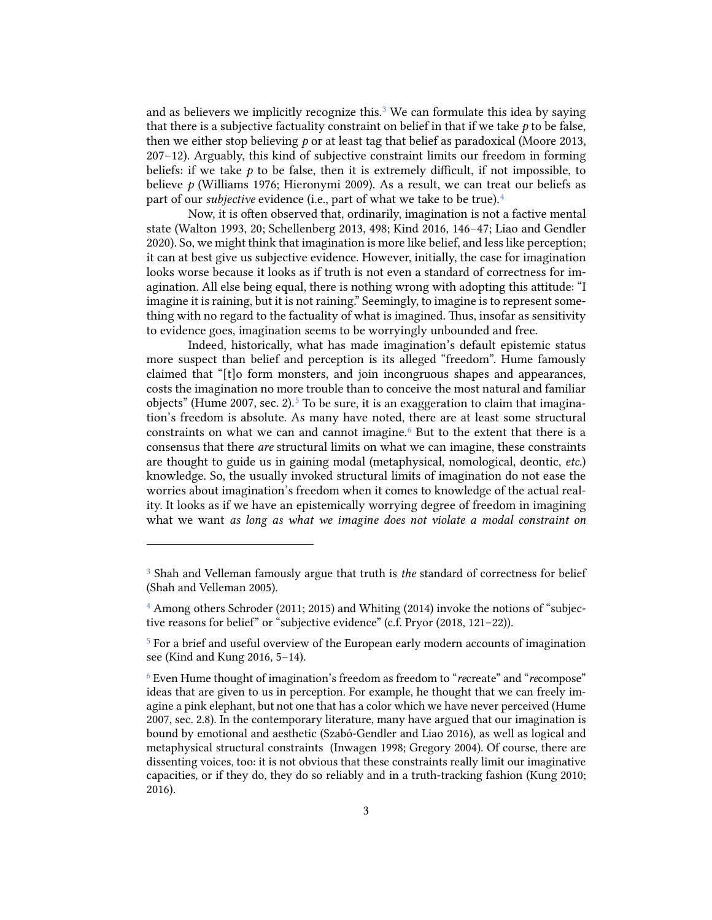and as believers we implicitly recognize this. [3](#page-2-0) We can formulate this idea by saying that there is a subjective factuality constraint on belief in that if we take *p* to be false, then we either stop believing *p* or at least tag that belief as paradoxical (Moore 2013, 207–12). Arguably, this kind of subjective constraint limits our freedom in forming beliefs: if we take  $p$  to be false, then it is extremely difficult, if not impossible, to believe *p* (Williams 1976; Hieronymi 2009). As a result, we can treat our beliefs as part of our *subjective* evidence (i.e., part of what we take to be true). [4](#page-2-1)

Now, it is often observed that, ordinarily, imagination is not a factive mental state (Walton 1993, 20; Schellenberg 2013, 498; Kind 2016, 146–47; Liao and Gendler 2020). So, we might think that imagination is more like belief, and less like perception; it can at best give us subjective evidence. However, initially, the case for imagination looks worse because it looks as if truth is not even a standard of correctness for imagination. All else being equal, there is nothing wrong with adopting this attitude: "I imagine it is raining, but it is not raining." Seemingly, to imagine is to represent something with no regard to the factuality of what is imagined. Thus, insofar as sensitivity to evidence goes, imagination seems to be worryingly unbounded and free.

Indeed, historically, what has made imagination's default epistemic status more suspect than belief and perception is its alleged "freedom". Hume famously claimed that "[t]o form monsters, and join incongruous shapes and appearances, costs the imagination no more trouble than to conceive the most natural and familiar objects" (Hume 2007, sec. 2).<sup>[5](#page-2-2)</sup> To be sure, it is an exaggeration to claim that imagination's freedom is absolute. As many have noted, there are at least some structural constraints on what we can and cannot imagine. $6$  But to the extent that there is a consensus that there *are* structural limits on what we can imagine, these constraints are thought to guide us in gaining modal (metaphysical, nomological, deontic, *etc.*) knowledge. So, the usually invoked structural limits of imagination do not ease the worries about imagination's freedom when it comes to knowledge of the actual reality. It looks as if we have an epistemically worrying degree of freedom in imagining what we want *as long as what we imagine does not violate a modal constraint on* 

<span id="page-2-0"></span><sup>3</sup> Shah and Velleman famously argue that truth is *the* standard of correctness for belief (Shah and Velleman 2005).

<span id="page-2-1"></span><sup>&</sup>lt;sup>4</sup> Among others Schroder (2011; 2015) and Whiting (2014) invoke the notions of "subjective reasons for belie" or "subjective evidence" (c.f. Pryor (2018, 121–22)).

<span id="page-2-2"></span><sup>&</sup>lt;sup>5</sup> For a brief and useful overview of the European early modern accounts of imagination see (Kind and Kung 2016, 5–14).

<span id="page-2-3"></span><sup>6</sup> Even Hume thought of imagination's freedom as freedom to "*re*create" and "*re*compose" ideas that are given to us in perception. For example, he thought that we can freely imagine a pink elephant, but not one that has a color which we have never perceived (Hume 2007, sec. 2.8). In the contemporary literature, many have argued that our imagination is bound by emotional and aesthetic (Szabó-Gendler and Liao 2016), as well as logical and metaphysical structural constraints (Inwagen 1998; Gregory 2004). Of course, there are dissenting voices, too: it is not obvious that these constraints really limit our imaginative capacities, or if they do, they do so reliably and in a truth-tracking fashion (Kung 2010; 2016).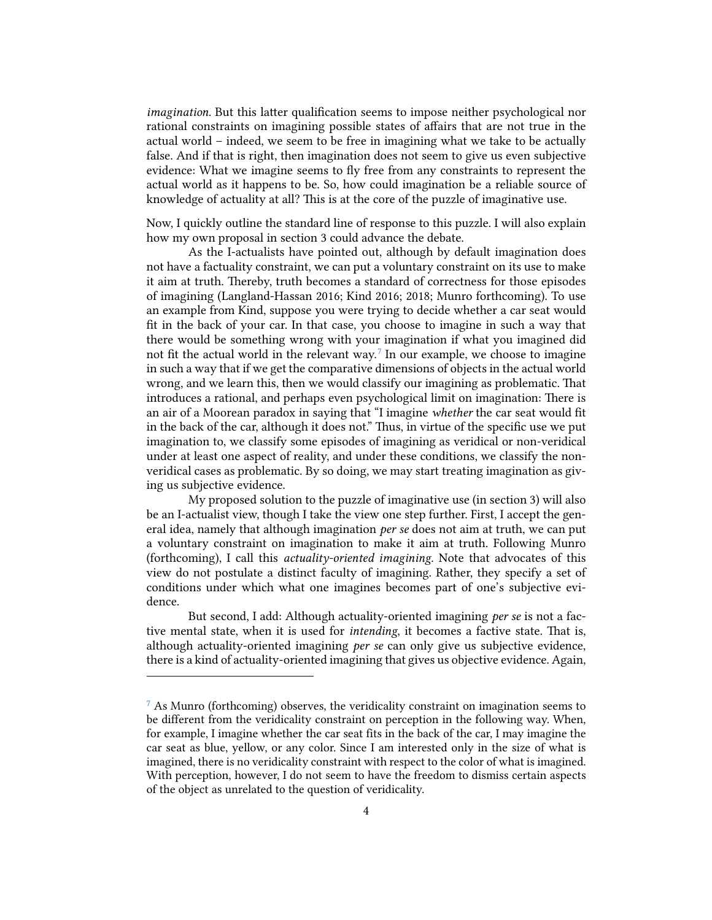*imagination*. But this latter qualification seems to impose neither psychological nor rational constraints on imagining possible states of affairs that are not true in the actual world – indeed, we seem to be free in imagining what we take to be actually false. And if that is right, then imagination does not seem to give us even subjective evidence: What we imagine seems to fly free from any constraints to represent the actual world as it happens to be. So, how could imagination be a reliable source of knowledge of actuality at all? This is at the core of the puzzle of imaginative use.

Now, I quickly outline the standard line of response to this puzzle. I will also explain how my own proposal in section 3 could advance the debate.

As the I-actualists have pointed out, although by default imagination does not have a factuality constraint, we can put a voluntary constraint on its use to make it aim at truth. Thereby, truth becomes a standard of correctness for those episodes of imagining (Langland-Hassan 2016; Kind 2016; 2018; Munro forthcoming). To use an example from Kind, suppose you were trying to decide whether a car seat would fit in the back of your car. In that case, you choose to imagine in such a way that there would be something wrong with your imagination if what you imagined did not fit the actual world in the relevant way. [7](#page-3-0) In our example, we choose to imagine in such a way that if we get the comparative dimensions of objects in the actual world wrong, and we learn this, then we would classify our imagining as problematic. That introduces a rational, and perhaps even psychological limit on imagination: There is an air of a Moorean paradox in saying that "I imagine *whether* the car seat would fit in the back of the car, although it does not." Thus, in virtue of the specific use we put imagination to, we classify some episodes of imagining as veridical or non-veridical under at least one aspect of reality, and under these conditions, we classify the nonveridical cases as problematic. By so doing, we may start treating imagination as giving us subjective evidence.

My proposed solution to the puzzle of imaginative use (in section 3) will also be an I-actualist view, though I take the view one step further. First, I accept the general idea, namely that although imagination *per se* does not aim at truth, we can put a voluntary constraint on imagination to make it aim at truth. Following Munro (forthcoming), I call this *actuality-oriented imagining.* Note that advocates of this view do not postulate a distinct faculty of imagining. Rather, they specify a set of conditions under which what one imagines becomes part of one's subjective evidence.

But second, I add: Although actuality-oriented imagining *per se* is not a factive mental state, when it is used for *intending*, it becomes a factive state. That is, although actuality-oriented imagining *per se* can only give us subjective evidence, there is a kind of actuality-oriented imagining that gives us objective evidence. Again,

<span id="page-3-0"></span><sup>7</sup> As Munro (forthcoming) observes, the veridicality constraint on imagination seems to be different from the veridicality constraint on perception in the following way. When, for example, I imagine whether the car seat fits in the back of the car, I may imagine the car seat as blue, yellow, or any color. Since I am interested only in the size of what is imagined, there is no veridicality constraint with respect to the color of what is imagined. With perception, however, I do not seem to have the freedom to dismiss certain aspects of the object as unrelated to the question of veridicality.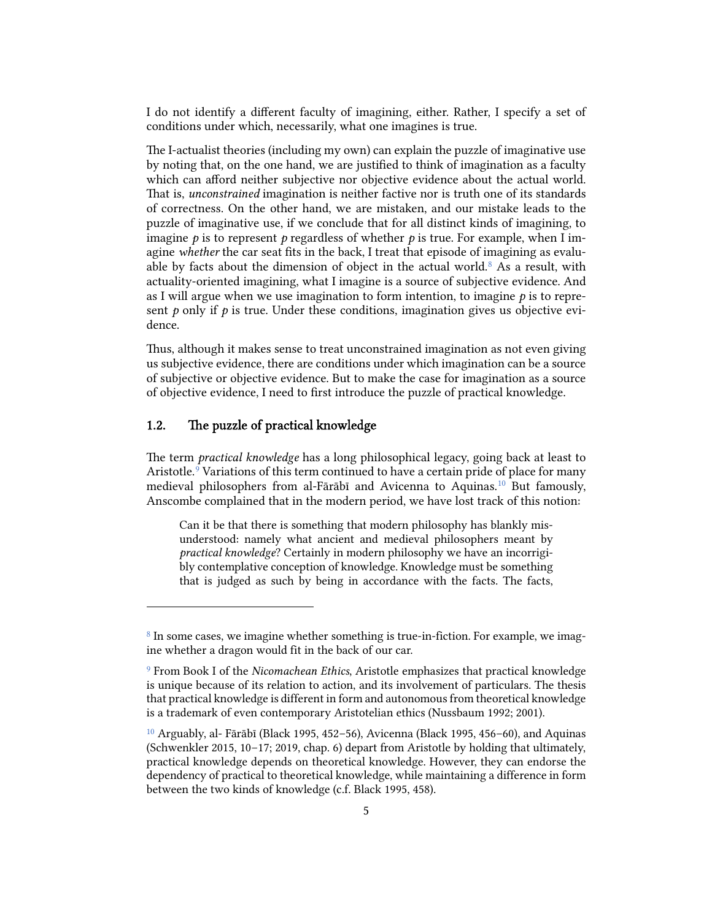I do not identify a different faculty of imagining, either. Rather, I specify a set of conditions under which, necessarily, what one imagines is true.

The I-actualist theories (including my own) can explain the puzzle of imaginative use by noting that, on the one hand, we are justified to think of imagination as a faculty which can afford neither subjective nor objective evidence about the actual world. That is, *unconstrained* imagination is neither factive nor is truth one of its standards of correctness. On the other hand, we are mistaken, and our mistake leads to the puzzle of imaginative use, if we conclude that for all distinct kinds of imagining, to imagine  $p$  is to represent  $p$  regardless of whether  $p$  is true. For example, when I imagine *whether* the car seat fits in the back, I treat that episode of imagining as evalu-able by facts about the dimension of object in the actual world.<sup>[8](#page-4-0)</sup> As a result, with actuality-oriented imagining, what I imagine is a source of subjective evidence. And as I will argue when we use imagination to form intention, to imagine *p* is to represent  $p$  only if  $p$  is true. Under these conditions, imagination gives us objective evidence.

Thus, although it makes sense to treat unconstrained imagination as not even giving us subjective evidence, there are conditions under which imagination can be a source of subjective or objective evidence. But to make the case for imagination as a source of objective evidence, I need to first introduce the puzzle of practical knowledge.

## 1.2. The puzzle of practical knowledge

e term *practical knowledge* has a long philosophical legacy, going back at least to Aristotle.<sup>[9](#page-4-1)</sup> Variations of this term continued to have a certain pride of place for many medieval philosophers from al-Fārābī and Avicenna to Aquinas. [10](#page-4-2) But famously, Anscombe complained that in the modern period, we have lost track of this notion:

Can it be that there is something that modern philosophy has blankly misunderstood: namely what ancient and medieval philosophers meant by *practical knowledge*? Certainly in modern philosophy we have an incorrigibly contemplative conception of knowledge. Knowledge must be something that is judged as such by being in accordance with the facts. The facts,

<span id="page-4-0"></span><sup>&</sup>lt;sup>8</sup> In some cases, we imagine whether something is true-in-fiction. For example, we imagine whether a dragon would fit in the back of our car.

<span id="page-4-1"></span><sup>9</sup> From Book I of the *Nicomachean Ethics*, Aristotle emphasizes that practical knowledge is unique because of its relation to action, and its involvement of particulars. The thesis that practical knowledge is different in form and autonomous from theoretical knowledge is a trademark of even contemporary Aristotelian ethics (Nussbaum 1992; 2001).

<span id="page-4-2"></span> $10$  Arguably, al- Fārābī (Black 1995, 452–56), Avicenna (Black 1995, 456–60), and Aquinas (Schwenkler 2015, 10–17; 2019, chap. 6) depart from Aristotle by holding that ultimately, practical knowledge depends on theoretical knowledge. However, they can endorse the dependency of practical to theoretical knowledge, while maintaining a difference in form between the two kinds of knowledge (c.f. Black 1995, 458).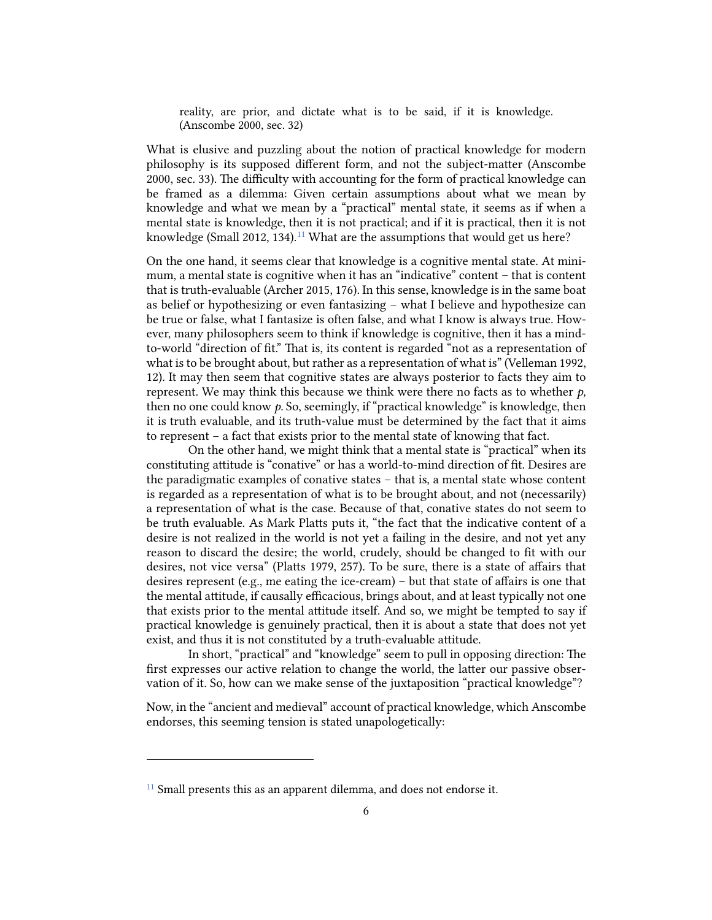reality, are prior, and dictate what is to be said, if it is knowledge. (Anscombe 2000, sec. 32)

What is elusive and puzzling about the notion of practical knowledge for modern philosophy is its supposed different form, and not the subject-matter (Anscombe 2000, sec. 33). The difficulty with accounting for the form of practical knowledge can be framed as a dilemma: Given certain assumptions about what we mean by knowledge and what we mean by a "practical" mental state, it seems as if when a mental state is knowledge, then it is not practical; and if it is practical, then it is not knowledge (Small 2012, 134).<sup>[11](#page-5-0)</sup> What are the assumptions that would get us here?

On the one hand, it seems clear that knowledge is a cognitive mental state. At minimum, a mental state is cognitive when it has an "indicative" content – that is content that is truth-evaluable (Archer 2015, 176). In this sense, knowledge is in the same boat as belief or hypothesizing or even fantasizing – what I believe and hypothesize can be true or false, what I fantasize is often false, and what I know is always true. However, many philosophers seem to think if knowledge is cognitive, then it has a mindto-world "direction of fit." That is, its content is regarded "not as a representation of what is to be brought about, but rather as a representation of what is" (Velleman 1992, 12). It may then seem that cognitive states are always posterior to facts they aim to represent. We may think this because we think were there no facts as to whether *p,* then no one could know *p.* So, seemingly, if "practical knowledge" is knowledge, then it is truth evaluable, and its truth-value must be determined by the fact that it aims to represent – a fact that exists prior to the mental state of knowing that fact.

On the other hand, we might think that a mental state is "practical" when its constituting attitude is "conative" or has a world-to-mind direction of fit. Desires are the paradigmatic examples of conative states – that is, a mental state whose content is regarded as a representation of what is to be brought about, and not (necessarily) a representation of what is the case. Because of that, conative states do not seem to be truth evaluable. As Mark Platts puts it, "the fact that the indicative content of a desire is not realized in the world is not yet a failing in the desire, and not yet any reason to discard the desire; the world, crudely, should be changed to fit with our desires, not vice versa" (Platts 1979, 257). To be sure, there is a state of affairs that desires represent (e.g., me eating the ice-cream) – but that state of affairs is one that the mental attitude, if causally efficacious, brings about, and at least typically not one that exists prior to the mental attitude itself. And so, we might be tempted to say if practical knowledge is genuinely practical, then it is about a state that does not yet exist, and thus it is not constituted by a truth-evaluable attitude.

In short, "practical" and "knowledge" seem to pull in opposing direction: The first expresses our active relation to change the world, the latter our passive observation of it. So, how can we make sense of the juxtaposition "practical knowledge"?

Now, in the "ancient and medieval" account of practical knowledge, which Anscombe endorses, this seeming tension is stated unapologetically:

<span id="page-5-0"></span><sup>&</sup>lt;sup>11</sup> Small presents this as an apparent dilemma, and does not endorse it.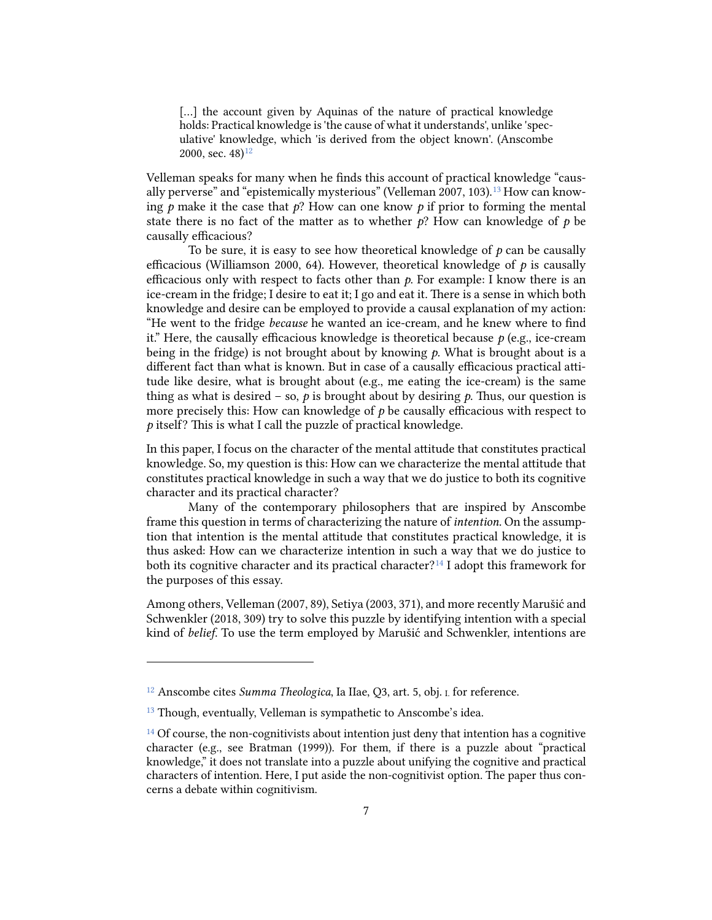[...] the account given by Aquinas of the nature of practical knowledge holds: Practical knowledge is 'the cause of what it understands', unlike 'speculative' knowledge, which 'is derived from the object known'. (Anscombe 2000, sec.  $48$ )<sup>12</sup>

Velleman speaks for many when he finds this account of practical knowledge "caus-ally perverse" and "epistemically mysterious" (Velleman 2007, 103).<sup>[13](#page-6-1)</sup> How can knowing  $p$  make it the case that  $p$ ? How can one know  $p$  if prior to forming the mental state there is no fact of the matter as to whether  $p$ ? How can knowledge of  $p$  be causally efficacious?

To be sure, it is easy to see how theoretical knowledge of *p* can be causally efficacious (Williamson 2000, 64). However, theoretical knowledge of *p* is causally efficacious only with respect to facts other than  $p$ . For example: I know there is an ice-cream in the fridge; I desire to eat it; I go and eat it. There is a sense in which both knowledge and desire can be employed to provide a causal explanation of my action: "He went to the fridge *because* he wanted an ice-cream, and he knew where to find it." Here, the causally efficacious knowledge is theoretical because  $p$  (e.g., ice-cream being in the fridge) is not brought about by knowing *p.* What is brought about is a different fact than what is known. But in case of a causally efficacious practical attitude like desire, what is brought about (e.g., me eating the ice-cream) is the same thing as what is desired – so,  $\dot{p}$  is brought about by desiring  $\dot{p}$ . Thus, our question is more precisely this: How can knowledge of *p* be causally efficacious with respect to *p* itself? This is what I call the puzzle of practical knowledge.

In this paper, I focus on the character of the mental aitude that constitutes practical knowledge. So, my question is this: How can we characterize the mental aitude that constitutes practical knowledge in such a way that we do justice to both its cognitive character and its practical character?

Many of the contemporary philosophers that are inspired by Anscombe frame this question in terms of characterizing the nature of *intention.* On the assumption that intention is the mental attitude that constitutes practical knowledge, it is thus asked: How can we characterize intention in such a way that we do justice to both its cognitive character and its practical character?<sup>[14](#page-6-2)</sup> I adopt this framework for the purposes of this essay.

Among others, Velleman (2007, 89), Setiya (2003, 371), and more recently Marušić and Schwenkler (2018, 309) try to solve this puzzle by identifying intention with a special kind of *belief*. To use the term employed by Marušić and Schwenkler, intentions are

<span id="page-6-0"></span><sup>12</sup> Anscombe cites *Summa Theologica*, Ia IIae, Q3, art. 5, obj. I. for reference.

<span id="page-6-1"></span><sup>&</sup>lt;sup>13</sup> Though, eventually, Velleman is sympathetic to Anscombe's idea.

<span id="page-6-2"></span> $14$  Of course, the non-cognitivists about intention just deny that intention has a cognitive character (e.g., see Bratman (1999)). For them, if there is a puzzle about "practical knowledge," it does not translate into a puzzle about unifying the cognitive and practical characters of intention. Here, I put aside the non-cognitivist option. The paper thus concerns a debate within cognitivism.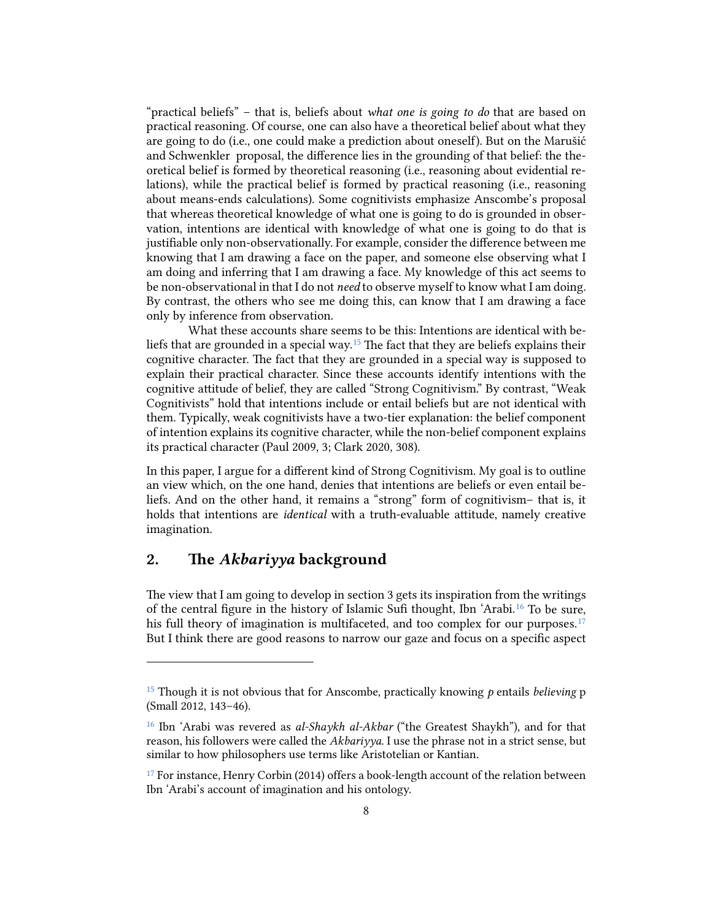"practical beliefs" – that is, beliefs about *what one is going to do* that are based on practical reasoning. Of course, one can also have a theoretical belief about what they are going to do (i.e., one could make a prediction about onesel). But on the Marušić and Schwenkler proposal, the difference lies in the grounding of that belief: the theoretical belief is formed by theoretical reasoning (i.e., reasoning about evidential relations), while the practical belief is formed by practical reasoning (i.e., reasoning about means-ends calculations). Some cognitivists emphasize Anscombe's proposal that whereas theoretical knowledge of what one is going to do is grounded in observation, intentions are identical with knowledge of what one is going to do that is justifiable only non-observationally. For example, consider the difference between me knowing that I am drawing a face on the paper, and someone else observing what I am doing and inferring that I am drawing a face. My knowledge of this act seems to be non-observational in that I do not *need* to observe myself to know what I am doing. By contrast, the others who see me doing this, can know that I am drawing a face only by inference from observation.

What these accounts share seems to be this: Intentions are identical with be-liefs that are grounded in a special way.<sup>[15](#page-7-0)</sup> The fact that they are beliefs explains their cognitive character. The fact that they are grounded in a special way is supposed to explain their practical character. Since these accounts identify intentions with the cognitive attitude of belief, they are called "Strong Cognitivism." By contrast, "Weak Cognitivists" hold that intentions include or entail beliefs but are not identical with them. Typically, weak cognitivists have a two-tier explanation: the belief component of intention explains its cognitive character, while the non-belief component explains its practical character (Paul 2009, 3; Clark 2020, 308).

In this paper, I argue for a different kind of Strong Cognitivism. My goal is to outline an view which, on the one hand, denies that intentions are beliefs or even entail beliefs. And on the other hand, it remains a "strong" form of cognitivism– that is, it holds that intentions are *identical* with a truth-evaluable attitude, namely creative imagination.

## 2. The *Akbariyya* background

The view that I am going to develop in section 3 gets its inspiration from the writings of the central figure in the history of Islamic Sufi thought, Ibn 'Arabi.[16](#page-7-1) To be sure, his full theory of imagination is multifaceted, and too complex for our purposes.<sup>[17](#page-7-2)</sup> But I think there are good reasons to narrow our gaze and focus on a specific aspect

<span id="page-7-0"></span><sup>15</sup> Though it is not obvious that for Anscombe, practically knowing *p* entails *believing* p (Small 2012, 143–46).

<span id="page-7-1"></span><sup>16</sup> Ibn 'Arabi was revered as *al-Shaykh al-Akbar* ("the Greatest Shaykh"), and for that reason, his followers were called the *Akbariyya*. I use the phrase not in a strict sense, but similar to how philosophers use terms like Aristotelian or Kantian.

<span id="page-7-2"></span><sup>&</sup>lt;sup>17</sup> For instance, Henry Corbin (2014) offers a book-length account of the relation between Ibn 'Arabi's account of imagination and his ontology.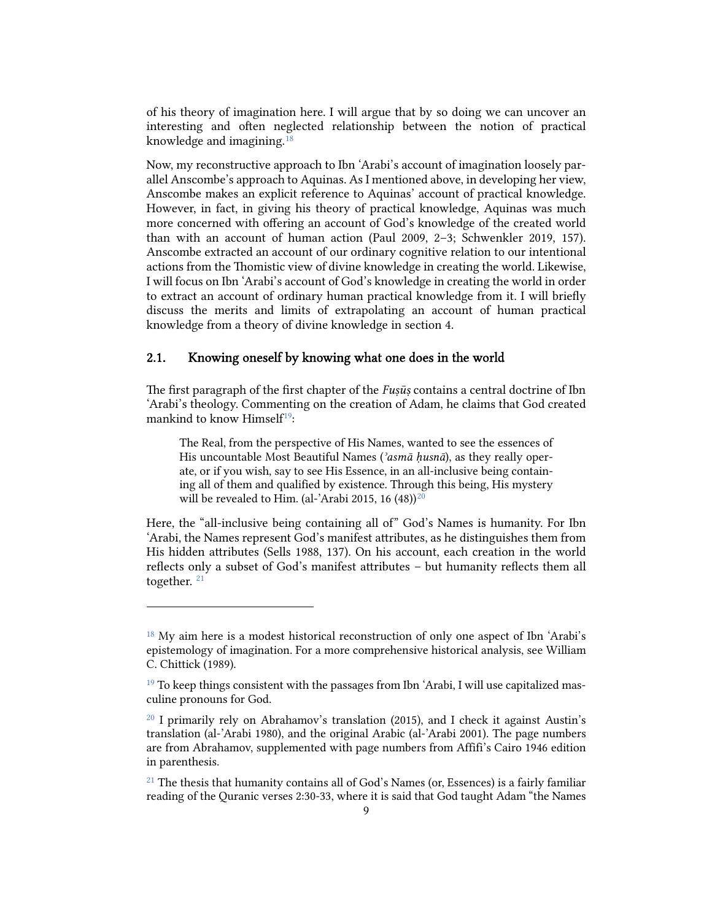of his theory of imagination here. I will argue that by so doing we can uncover an interesting and often neglected relationship between the notion of practical knowledge and imagining.<sup>[18](#page-8-0)</sup>

Now, my reconstructive approach to Ibn 'Arabi's account of imagination loosely parallel Anscombe's approach to Aquinas. As I mentioned above, in developing her view, Anscombe makes an explicit reference to Aquinas' account of practical knowledge. However, in fact, in giving his theory of practical knowledge, Aquinas was much more concerned with offering an account of God's knowledge of the created world than with an account of human action (Paul 2009, 2–3; Schwenkler 2019, 157). Anscombe extracted an account of our ordinary cognitive relation to our intentional actions from the Thomistic view of divine knowledge in creating the world. Likewise, I will focus on Ibn 'Arabi's account of God's knowledge in creating the world in order to extract an account of ordinary human practical knowledge from it. I will briefly discuss the merits and limits of extrapolating an account of human practical knowledge from a theory of divine knowledge in section 4.

## 2.1. Knowing oneself by knowing what one does in the world

e first paragraph of the first chapter of the *Fuṣūṣ* contains a central doctrine of Ibn 'Arabi's theology. Commenting on the creation of Adam, he claims that God created mankind to know Himself<sup>[19](#page-8-1)</sup>:

The Real, from the perspective of His Names, wanted to see the essences of His uncountable Most Beautiful Names (*ʾasmā ḥusnā*), as they really operate, or if you wish, say to see His Essence, in an all-inclusive being containing all of them and qualified by existence. Through this being, His mystery will be revealed to Him. (al-'Arabi 2015, 16  $(48)^{20}$ 

Here, the "all-inclusive being containing all of" God's Names is humanity. For Ibn 'Arabi, the Names represent God's manifest attributes, as he distinguishes them from His hidden attributes (Sells 1988, 137). On his account, each creation in the world reflects only a subset of God's manifest attributes – but humanity reflects them all together.  $21$ 

<span id="page-8-0"></span><sup>&</sup>lt;sup>18</sup> My aim here is a modest historical reconstruction of only one aspect of Ibn 'Arabi's epistemology of imagination. For a more comprehensive historical analysis, see William C. Chittick (1989).

<span id="page-8-1"></span> $19$  To keep things consistent with the passages from Ibn 'Arabi, I will use capitalized masculine pronouns for God.

<span id="page-8-2"></span> $20$  I primarily rely on Abrahamov's translation (2015), and I check it against Austin's translation (al-'Arabi 1980), and the original Arabic (al-'Arabi 2001). The page numbers are from Abrahamov, supplemented with page numbers from Affifi's Cairo 1946 edition in parenthesis.

<span id="page-8-3"></span> $21$  The thesis that humanity contains all of God's Names (or, Essences) is a fairly familiar reading of the Quranic verses 2:30-33, where it is said that God taught Adam "the Names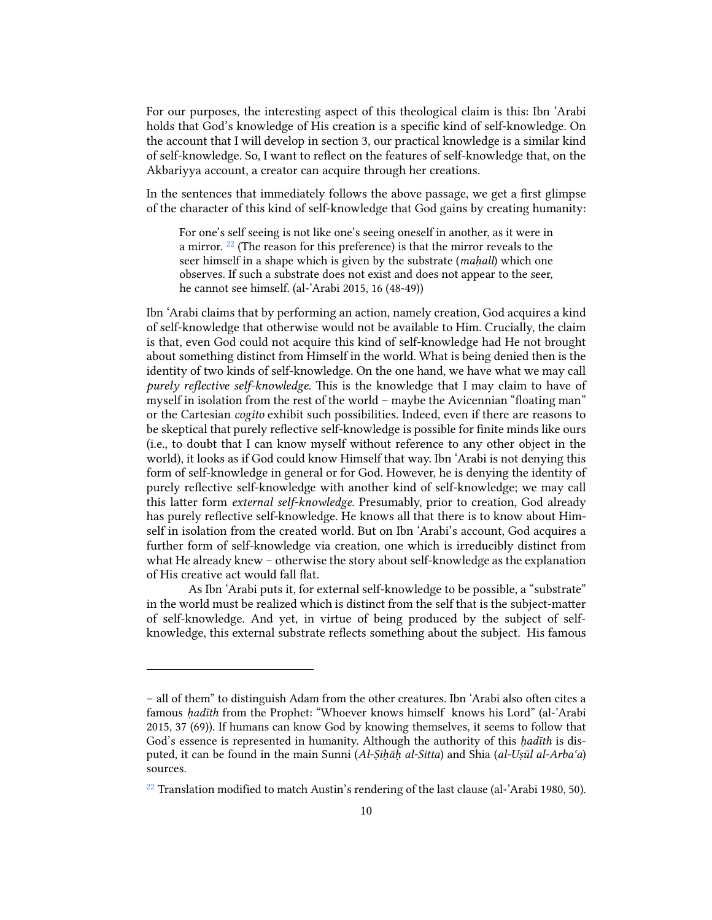For our purposes, the interesting aspect of this theological claim is this: Ibn 'Arabi holds that God's knowledge of His creation is a specific kind of self-knowledge. On the account that I will develop in section 3, our practical knowledge is a similar kind of self-knowledge. So, I want to reflect on the features of self-knowledge that, on the Akbariyya account, a creator can acquire through her creations.

In the sentences that immediately follows the above passage, we get a first glimpse of the character of this kind of self-knowledge that God gains by creating humanity:

For one's self seeing is not like one's seeing oneself in another, as it were in a mirror. [22](#page-9-0) (The reason for this preference) is that the mirror reveals to the seer himself in a shape which is given by the substrate (*maḥall*) which one observes. If such a substrate does not exist and does not appear to the seer, he cannot see himself. (al-'Arabi 2015, 16 (48-49))

Ibn 'Arabi claims that by performing an action, namely creation, God acquires a kind of self-knowledge that otherwise would not be available to Him. Crucially, the claim is that, even God could not acquire this kind of self-knowledge had He not brought about something distinct from Himself in the world. What is being denied then is the identity of two kinds of self-knowledge. On the one hand, we have what we may call *purely reflective self-knowledge.* is is the knowledge that I may claim to have of myself in isolation from the rest of the world – maybe the Avicennian "floating man" or the Cartesian *cogito* exhibit such possibilities. Indeed, even if there are reasons to be skeptical that purely reflective self-knowledge is possible for finite minds like ours (i.e., to doubt that I can know myself without reference to any other object in the world), it looks as if God could know Himself that way. Ibn 'Arabi is not denying this form of self-knowledge in general or for God. However, he is denying the identity of purely reflective self-knowledge with another kind of self-knowledge; we may call this latter form *external self-knowledge*. Presumably, prior to creation, God already has purely reflective self-knowledge. He knows all that there is to know about Himself in isolation from the created world. But on Ibn 'Arabi's account, God acquires a further form of self-knowledge via creation, one which is irreducibly distinct from what He already knew – otherwise the story about self-knowledge as the explanation of His creative act would fall flat.

As Ibn 'Arabi puts it, for external self-knowledge to be possible, a "substrate" in the world must be realized which is distinct from the self that is the subject-matter of self-knowledge. And yet, in virtue of being produced by the subject of selfknowledge, this external substrate reflects something about the subject. His famous

<sup>–</sup> all of them" to distinguish Adam from the other creatures. Ibn 'Arabi also often cites a famous *ḥadīth* from the Prophet: "Whoever knows himself knows his Lord" (al-'Arabi 2015, 37 (69)). If humans can know God by knowing themselves, it seems to follow that God's essence is represented in humanity. Although the authority of this *ḥadīth* is disputed, it can be found in the main Sunni (*Al-Ṣiḥāḥ al-Sitta*) and Shia (*al-Uṣūl al-Arbaʿa*) sources.

<span id="page-9-0"></span><sup>&</sup>lt;sup>22</sup> Translation modified to match Austin's rendering of the last clause (al-'Arabi 1980, 50).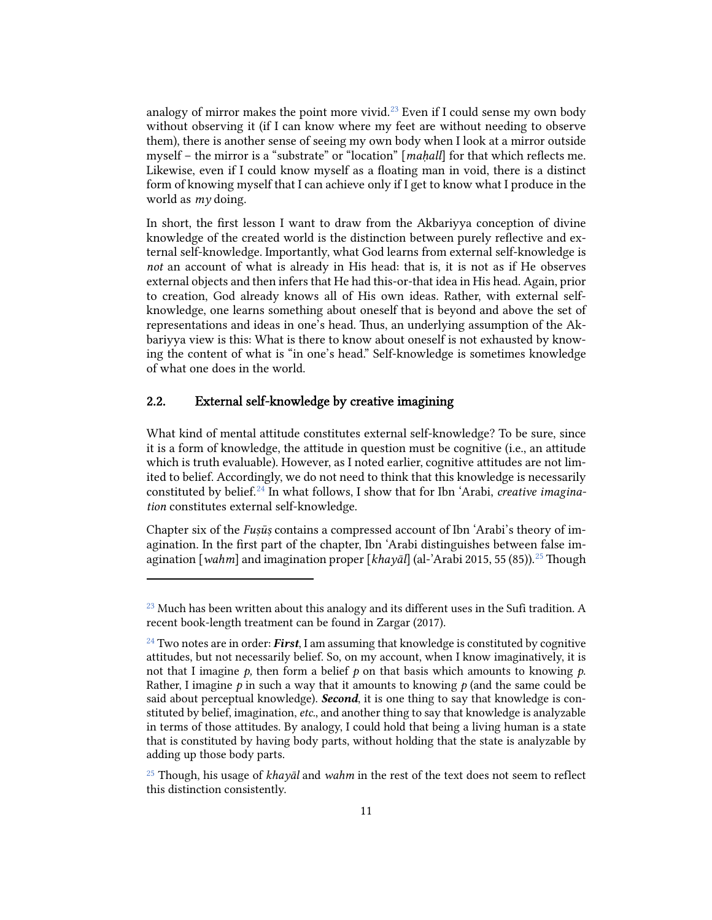analogy of mirror makes the point more vivid. [23](#page-10-0) Even if I could sense my own body without observing it (if I can know where my feet are without needing to observe them), there is another sense of seeing my own body when I look at a mirror outside myself – the mirror is a "substrate" or "location" [*maḥall*] for that which reflects me. Likewise, even if I could know myself as a floating man in void, there is a distinct form of knowing myself that I can achieve only if I get to know what I produce in the world as *my* doing.

In short, the first lesson I want to draw from the Akbariyya conception of divine knowledge of the created world is the distinction between purely reflective and external self-knowledge. Importantly, what God learns from external self-knowledge is *not* an account of what is already in His head: that is, it is not as if He observes external objects and then infers that He had this-or-that idea in His head. Again, prior to creation, God already knows all of His own ideas. Rather, with external selfknowledge, one learns something about oneself that is beyond and above the set of representations and ideas in one's head. Thus, an underlying assumption of the Akbariyya view is this: What is there to know about oneself is not exhausted by knowing the content of what is "in one's head." Self-knowledge is sometimes knowledge of what one does in the world.

#### 2.2. External self-knowledge by creative imagining

What kind of mental attitude constitutes external self-knowledge? To be sure, since it is a form of knowledge, the attitude in question must be cognitive (i.e., an attitude which is truth evaluable). However, as I noted earlier, cognitive attitudes are not limited to belief. Accordingly, we do not need to think that this knowledge is necessarily constituted by belief.[24](#page-10-1) In what follows, I show that for Ibn 'Arabi, *creative imagination* constitutes external self-knowledge.

Chapter six of the *Fuṣūṣ* contains a compressed account of Ibn 'Arabi's theory of imagination. In the first part of the chapter, Ibn 'Arabi distinguishes between false im-agination [wahm] and imagination proper [khayāl] (al-'Arabi 2015, 55 (85)).<sup>[25](#page-10-2)</sup> Though

<span id="page-10-0"></span> $^{23}$  Much has been written about this analogy and its different uses in the Sufi tradition. A recent book-length treatment can be found in Zargar (2017).

<span id="page-10-1"></span><sup>24</sup> Two notes are in order: *First*, I am assuming that knowledge is constituted by cognitive attitudes, but not necessarily belief. So, on my account, when I know imaginatively, it is not that I imagine  $p$ , then form a belief  $p$  on that basis which amounts to knowing  $p$ . Rather, I imagine  $p$  in such a way that it amounts to knowing  $p$  (and the same could be said about perceptual knowledge). *Second*, it is one thing to say that knowledge is constituted by belief, imagination, *etc.*, and another thing to say that knowledge is analyzable in terms of those attitudes. By analogy, I could hold that being a living human is a state that is constituted by having body parts, without holding that the state is analyzable by adding up those body parts.

<span id="page-10-2"></span><sup>25</sup> Though, his usage of *khayāl* and *wahm* in the rest of the text does not seem to reflect this distinction consistently.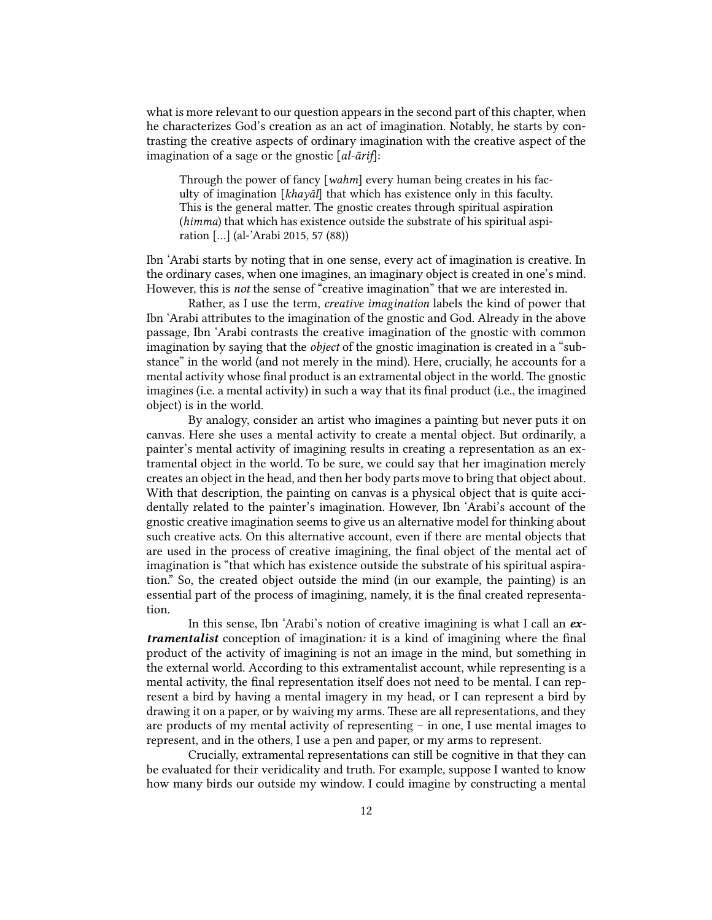what is more relevant to our question appears in the second part of this chapter, when he characterizes God's creation as an act of imagination. Notably, he starts by contrasting the creative aspects of ordinary imagination with the creative aspect of the imagination of a sage or the gnostic [*al-ārif*]:

Through the power of fancy [*wahm*] every human being creates in his faculty of imagination [*khayāl*] that which has existence only in this faculty. This is the general matter. The gnostic creates through spiritual aspiration (*himma*) that which has existence outside the substrate of his spiritual aspiration […] (al-'Arabi 2015, 57 (88))

Ibn 'Arabi starts by noting that in one sense, every act of imagination is creative. In the ordinary cases, when one imagines, an imaginary object is created in one's mind. However, this is *not* the sense of "creative imagination" that we are interested in.

Rather, as I use the term, *creative imagination* labels the kind of power that Ibn 'Arabi attributes to the imagination of the gnostic and God. Already in the above passage, Ibn 'Arabi contrasts the creative imagination of the gnostic with common imagination by saying that the *object* of the gnostic imagination is created in a "substance" in the world (and not merely in the mind). Here, crucially, he accounts for a mental activity whose final product is an extramental object in the world. The gnostic imagines (i.e. a mental activity) in such a way that its final product (i.e., the imagined object) is in the world.

By analogy, consider an artist who imagines a painting but never puts it on canvas. Here she uses a mental activity to create a mental object. But ordinarily, a painter's mental activity of imagining results in creating a representation as an extramental object in the world. To be sure, we could say that her imagination merely creates an object in the head, and then her body parts move to bring that object about. With that description, the painting on canvas is a physical object that is quite accidentally related to the painter's imagination. However, Ibn 'Arabi's account of the gnostic creative imagination seems to give us an alternative model for thinking about such creative acts. On this alternative account, even if there are mental objects that are used in the process of creative imagining, the final object of the mental act of imagination is "that which has existence outside the substrate of his spiritual aspiration." So, the created object outside the mind (in our example, the painting) is an essential part of the process of imagining, namely, it is the final created representation.

In this sense, Ibn 'Arabi's notion of creative imagining is what I call an *extramentalist* conception of imagination*:* it is a kind of imagining where the final product of the activity of imagining is not an image in the mind, but something in the external world. According to this extramentalist account, while representing is a mental activity, the final representation itself does not need to be mental. I can represent a bird by having a mental imagery in my head, or I can represent a bird by drawing it on a paper, or by waiving my arms. These are all representations, and they are products of my mental activity of representing – in one, I use mental images to represent, and in the others, I use a pen and paper, or my arms to represent.

Crucially, extramental representations can still be cognitive in that they can be evaluated for their veridicality and truth. For example, suppose I wanted to know how many birds our outside my window. I could imagine by constructing a mental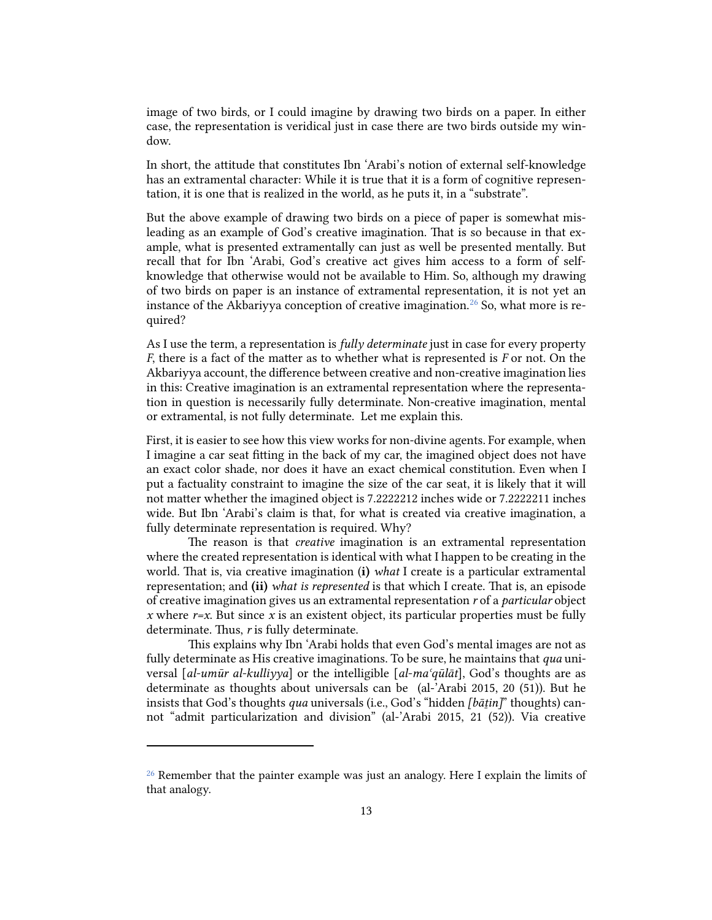image of two birds, or I could imagine by drawing two birds on a paper. In either case, the representation is veridical just in case there are two birds outside my window.

In short, the attitude that constitutes Ibn 'Arabi's notion of external self-knowledge has an extramental character: While it is true that it is a form of cognitive representation, it is one that is realized in the world, as he puts it, in a "substrate".

But the above example of drawing two birds on a piece of paper is somewhat misleading as an example of God's creative imagination. That is so because in that example, what is presented extramentally can just as well be presented mentally. But recall that for Ibn 'Arabi, God's creative act gives him access to a form of selfknowledge that otherwise would not be available to Him. So, although my drawing of two birds on paper is an instance of extramental representation, it is not yet an instance of the Akbariyya conception of creative imagination.<sup>[26](#page-12-0)</sup> So, what more is required?

As I use the term, a representation is *fully determinate* just in case for every property *F*, there is a fact of the matter as to whether what is represented is *F* or not. On the Akbariyya account, the difference between creative and non-creative imagination lies in this: Creative imagination is an extramental representation where the representation in question is necessarily fully determinate. Non-creative imagination, mental or extramental, is not fully determinate. Let me explain this.

First, it is easier to see how this view works for non-divine agents. For example, when I imagine a car seat fiing in the back of my car, the imagined object does not have an exact color shade, nor does it have an exact chemical constitution. Even when I put a factuality constraint to imagine the size of the car seat, it is likely that it will not matter whether the imagined object is 7.2222212 inches wide or 7.2222211 inches wide. But Ibn 'Arabi's claim is that, for what is created via creative imagination, a fully determinate representation is required. Why?

The reason is that *creative* imagination is an extramental representation where the created representation is identical with what I happen to be creating in the world. That is, via creative imagination (i) *what* I create is a particular extramental representation; and (ii) *what is represented* is that which I create. That is, an episode of creative imagination gives us an extramental representation *r* of a *particular* object *x* where  $r=x$ . But since *x* is an existent object, its particular properties must be fully determinate. Thus, *r* is fully determinate.

This explains why Ibn 'Arabi holds that even God's mental images are not as fully determinate as His creative imaginations. To be sure, he maintains that *qua* universal [*al-umūr al-kulliyya*] or the intelligible [*al-maʿqūlāt*], God's thoughts are as determinate as thoughts about universals can be (al-'Arabi 2015, 20 (51)). But he insists that God's thoughts *qua* universals (i.e., God's "hidden *[bāṯin]*" thoughts) cannot "admit particularization and division" (al-'Arabi 2015, 21 (52)). Via creative

<span id="page-12-0"></span><sup>&</sup>lt;sup>26</sup> Remember that the painter example was just an analogy. Here I explain the limits of that analogy.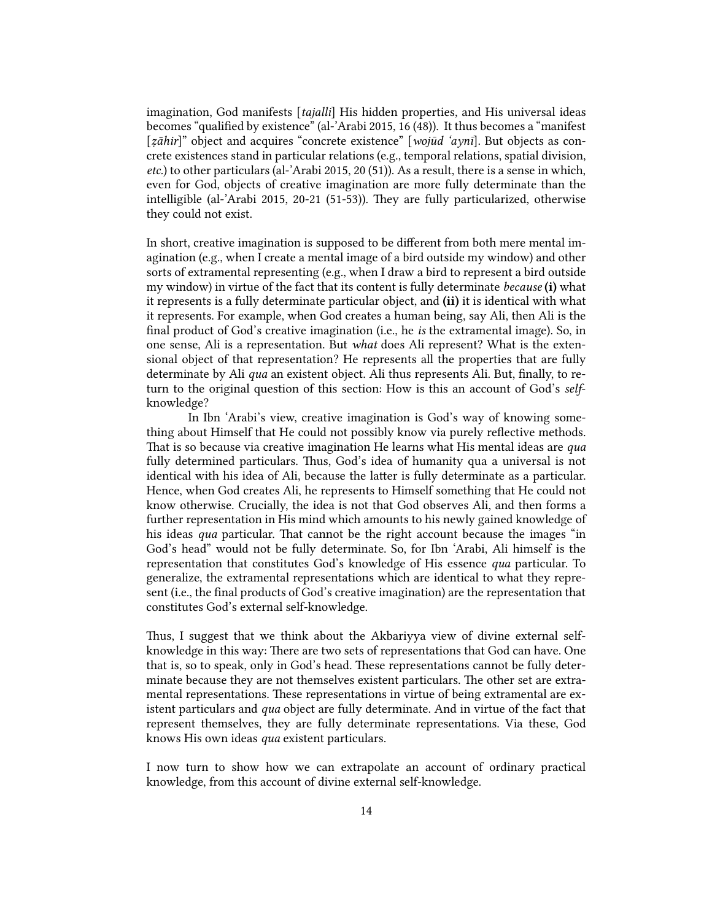imagination, God manifests [*tajalli*] His hidden properties, and His universal ideas becomes "qualified by existence" (al-'Arabi 2015, 16 (48)). It thus becomes a "manifest [*ẓāhir*]" object and acquires "concrete existence" [*wojūd 'aynī*]. But objects as concrete existences stand in particular relations (e.g., temporal relations, spatial division, *etc.*) to other particulars (al-'Arabi 2015, 20 (51)). As a result, there is a sense in which, even for God, objects of creative imagination are more fully determinate than the intelligible (al-'Arabi 2015, 20-21 (51-53)). They are fully particularized, otherwise they could not exist.

In short, creative imagination is supposed to be different from both mere mental imagination (e.g., when I create a mental image of a bird outside my window) and other sorts of extramental representing (e.g., when I draw a bird to represent a bird outside my window) in virtue of the fact that its content is fully determinate *because* (i) what it represents is a fully determinate particular object, and (ii) it is identical with what it represents. For example, when God creates a human being, say Ali, then Ali is the final product of God's creative imagination (i.e., he *is* the extramental image). So, in one sense, Ali is a representation. But *what* does Ali represent? What is the extensional object of that representation? He represents all the properties that are fully determinate by Ali *qua* an existent object. Ali thus represents Ali. But, finally, to return to the original question of this section: How is this an account of God's *self*knowledge?

In Ibn 'Arabi's view, creative imagination is God's way of knowing something about Himself that He could not possibly know via purely reflective methods. That is so because via creative imagination He learns what His mental ideas are *qua* fully determined particulars. Thus, God's idea of humanity qua a universal is not identical with his idea of Ali, because the latter is fully determinate as a particular. Hence, when God creates Ali, he represents to Himself something that He could not know otherwise. Crucially, the idea is not that God observes Ali, and then forms a further representation in His mind which amounts to his newly gained knowledge of his ideas *qua* particular. That cannot be the right account because the images "in God's head" would not be fully determinate. So, for Ibn 'Arabi, Ali himself is the representation that constitutes God's knowledge of His essence *qua* particular. To generalize, the extramental representations which are identical to what they represent (i.e., the final products of God's creative imagination) are the representation that constitutes God's external self-knowledge.

Thus, I suggest that we think about the Akbariyya view of divine external selfknowledge in this way: There are two sets of representations that God can have. One that is, so to speak, only in God's head. These representations cannot be fully determinate because they are not themselves existent particulars. The other set are extramental representations. These representations in virtue of being extramental are existent particulars and *qua* object are fully determinate. And in virtue of the fact that represent themselves, they are fully determinate representations. Via these, God knows His own ideas *qua* existent particulars.

I now turn to show how we can extrapolate an account of ordinary practical knowledge, from this account of divine external self-knowledge.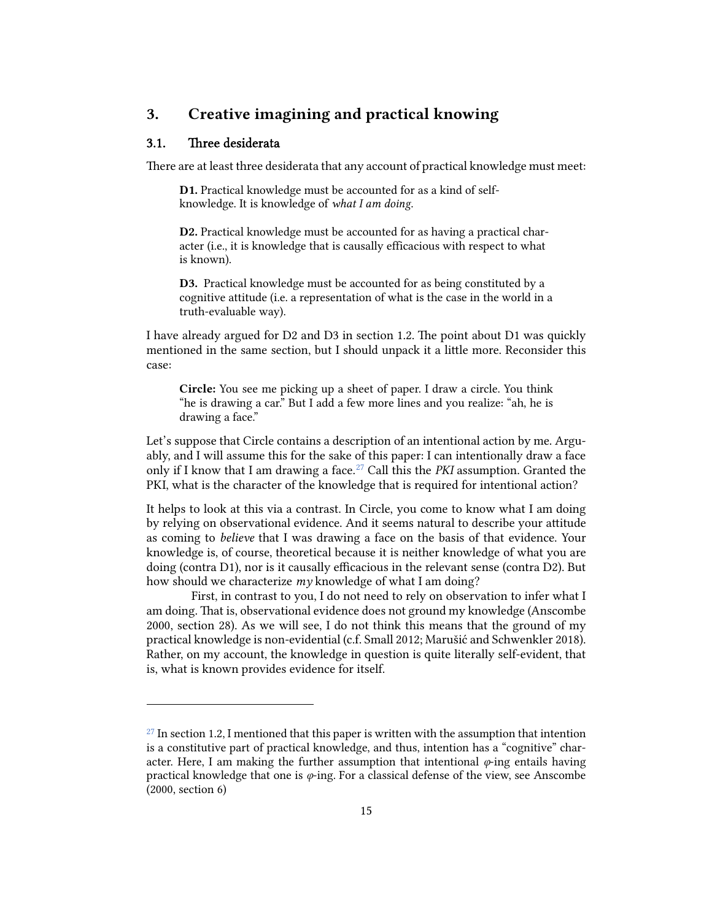## 3. Creative imagining and practical knowing

## 3.1. Three desiderata

There are at least three desiderata that any account of practical knowledge must meet:

D1. Practical knowledge must be accounted for as a kind of selfknowledge. It is knowledge of *what I am doing*.

D2. Practical knowledge must be accounted for as having a practical character (i.e., it is knowledge that is causally efficacious with respect to what is known).

D3. Practical knowledge must be accounted for as being constituted by a cognitive attitude (i.e. a representation of what is the case in the world in a truth-evaluable way).

I have already argued for D2 and D3 in section 1.2. The point about D1 was quickly mentioned in the same section, but I should unpack it a little more. Reconsider this case:

Circle: You see me picking up a sheet of paper. I draw a circle. You think "he is drawing a car." But I add a few more lines and you realize: "ah, he is drawing a face."

Let's suppose that Circle contains a description of an intentional action by me. Arguably, and I will assume this for the sake of this paper: I can intentionally draw a face only if I know that I am drawing a face.[27](#page-14-0) Call this the *PKI* assumption. Granted the PKI, what is the character of the knowledge that is required for intentional action?

It helps to look at this via a contrast. In Circle, you come to know what I am doing by relying on observational evidence. And it seems natural to describe your attitude as coming to *believe* that I was drawing a face on the basis of that evidence. Your knowledge is, of course, theoretical because it is neither knowledge of what you are doing (contra D1), nor is it causally efficacious in the relevant sense (contra D2). But how should we characterize *my* knowledge of what I am doing?

First, in contrast to you, I do not need to rely on observation to infer what I am doing. That is, observational evidence does not ground my knowledge (Anscombe 2000, section 28). As we will see, I do not think this means that the ground of my practical knowledge is non-evidential (c.f. Small 2012; Marušić and Schwenkler 2018). Rather, on my account, the knowledge in question is quite literally self-evident, that is, what is known provides evidence for itself.

<span id="page-14-0"></span> $27$  In section 1.2, I mentioned that this paper is written with the assumption that intention is a constitutive part of practical knowledge, and thus, intention has a "cognitive" character. Here, I am making the further assumption that intentional  $\varphi$ -ing entails having practical knowledge that one is *φ*-ing. For a classical defense of the view, see Anscombe (2000, section 6)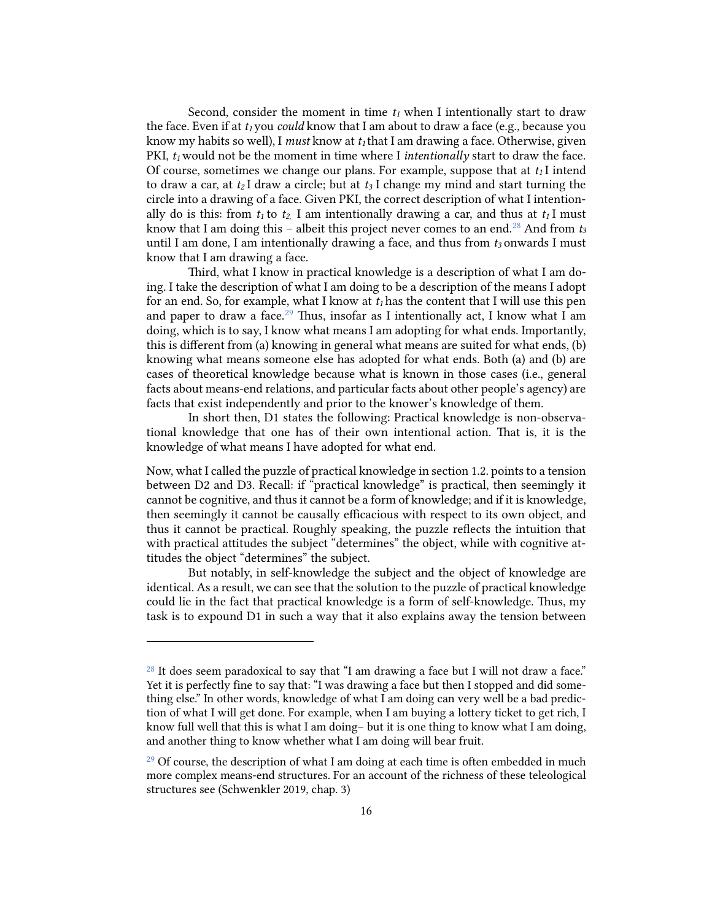Second, consider the moment in time  $t_1$  when I intentionally start to draw the face. Even if at  $t_1$  you *could* know that I am about to draw a face (e.g., because you know my habits so well), I *must* know at  $t_1$  that I am drawing a face. Otherwise, given PKI,  $t_1$  would not be the moment in time where I *intentionally* start to draw the face. Of course, sometimes we change our plans. For example, suppose that at  $t_1$ I intend to draw a car, at  $t_2$ I draw a circle; but at  $t_3$ I change my mind and start turning the circle into a drawing of a face. Given PKI, the correct description of what I intentionally do is this: from  $t_1$  to  $t_2$  I am intentionally drawing a car, and thus at  $t_1$ I must know that I am doing this – albeit this project never comes to an end. [28](#page-15-0) And from *t3* until I am done, I am intentionally drawing a face, and thus from  $t_3$  onwards I must know that I am drawing a face.

Third, what I know in practical knowledge is a description of what I am doing. I take the description of what I am doing to be a description of the means I adopt for an end. So, for example, what I know at  $t_1$  has the content that I will use this pen and paper to draw a face.<sup>[29](#page-15-1)</sup> Thus, insofar as I intentionally act, I know what I am doing, which is to say, I know what means I am adopting for what ends. Importantly, this is different from (a) knowing in general what means are suited for what ends, (b) knowing what means someone else has adopted for what ends. Both (a) and (b) are cases of theoretical knowledge because what is known in those cases (i.e., general facts about means-end relations, and particular facts about other people's agency) are facts that exist independently and prior to the knower's knowledge of them.

In short then, D1 states the following: Practical knowledge is non-observational knowledge that one has of their own intentional action. That is, it is the knowledge of what means I have adopted for what end.

Now, what I called the puzzle of practical knowledge in section 1.2. points to a tension between D2 and D3. Recall: if "practical knowledge" is practical, then seemingly it cannot be cognitive, and thus it cannot be a form of knowledge; and if it is knowledge, then seemingly it cannot be causally efficacious with respect to its own object, and thus it cannot be practical. Roughly speaking, the puzzle reflects the intuition that with practical attitudes the subject "determines" the object, while with cognitive attitudes the object "determines" the subject.

But notably, in self-knowledge the subject and the object of knowledge are identical. As a result, we can see that the solution to the puzzle of practical knowledge could lie in the fact that practical knowledge is a form of self-knowledge. Thus, my task is to expound D1 in such a way that it also explains away the tension between

<span id="page-15-0"></span><sup>&</sup>lt;sup>28</sup> It does seem paradoxical to say that "I am drawing a face but I will not draw a face." Yet it is perfectly fine to say that: "I was drawing a face but then I stopped and did something else." In other words, knowledge of what I am doing can very well be a bad prediction of what I will get done. For example, when I am buying a lottery ticket to get rich, I know full well that this is what I am doing– but it is one thing to know what I am doing, and another thing to know whether what I am doing will bear fruit.

<span id="page-15-1"></span> $29$  Of course, the description of what I am doing at each time is often embedded in much more complex means-end structures. For an account of the richness of these teleological structures see (Schwenkler 2019, chap. 3)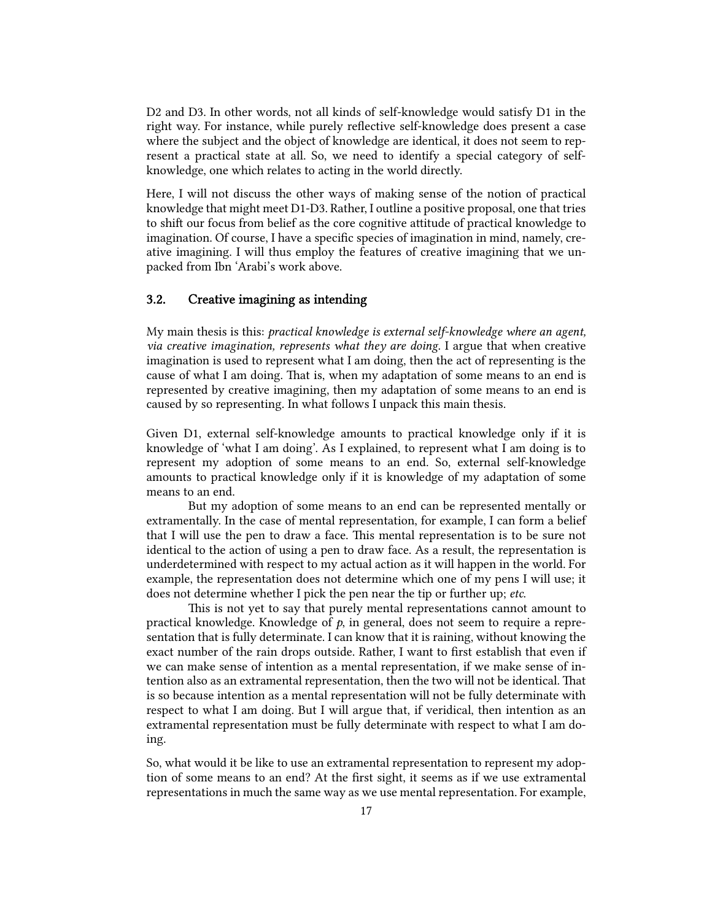D2 and D3. In other words, not all kinds of self-knowledge would satisfy D1 in the right way. For instance, while purely reflective self-knowledge does present a case where the subject and the object of knowledge are identical, it does not seem to represent a practical state at all. So, we need to identify a special category of selfknowledge, one which relates to acting in the world directly.

Here, I will not discuss the other ways of making sense of the notion of practical knowledge that might meet D1-D3. Rather, I outline a positive proposal, one that tries to shift our focus from belief as the core cognitive attitude of practical knowledge to imagination. Of course, I have a specific species of imagination in mind, namely, creative imagining. I will thus employ the features of creative imagining that we unpacked from Ibn 'Arabi's work above.

#### 3.2. Creative imagining as intending

My main thesis is this: *practical knowledge is external self-knowledge where an agent, via creative imagination, represents what they are doing*. I argue that when creative imagination is used to represent what I am doing, then the act of representing is the cause of what I am doing. That is, when my adaptation of some means to an end is represented by creative imagining, then my adaptation of some means to an end is caused by so representing. In what follows I unpack this main thesis.

Given D1, external self-knowledge amounts to practical knowledge only if it is knowledge of 'what I am doing'. As I explained, to represent what I am doing is to represent my adoption of some means to an end. So, external self-knowledge amounts to practical knowledge only if it is knowledge of my adaptation of some means to an end.

But my adoption of some means to an end can be represented mentally or extramentally. In the case of mental representation, for example, I can form a belief that I will use the pen to draw a face. This mental representation is to be sure not identical to the action of using a pen to draw face. As a result, the representation is underdetermined with respect to my actual action as it will happen in the world. For example, the representation does not determine which one of my pens I will use; it does not determine whether I pick the pen near the tip or further up; *etc*.

This is not yet to say that purely mental representations cannot amount to practical knowledge. Knowledge of  $p$ , in general, does not seem to require a representation that is fully determinate. I can know that it is raining, without knowing the exact number of the rain drops outside. Rather, I want to first establish that even if we can make sense of intention as a mental representation, if we make sense of intention also as an extramental representation, then the two will not be identical. That is so because intention as a mental representation will not be fully determinate with respect to what I am doing. But I will argue that, if veridical, then intention as an extramental representation must be fully determinate with respect to what I am doing.

So, what would it be like to use an extramental representation to represent my adoption of some means to an end? At the first sight, it seems as if we use extramental representations in much the same way as we use mental representation. For example,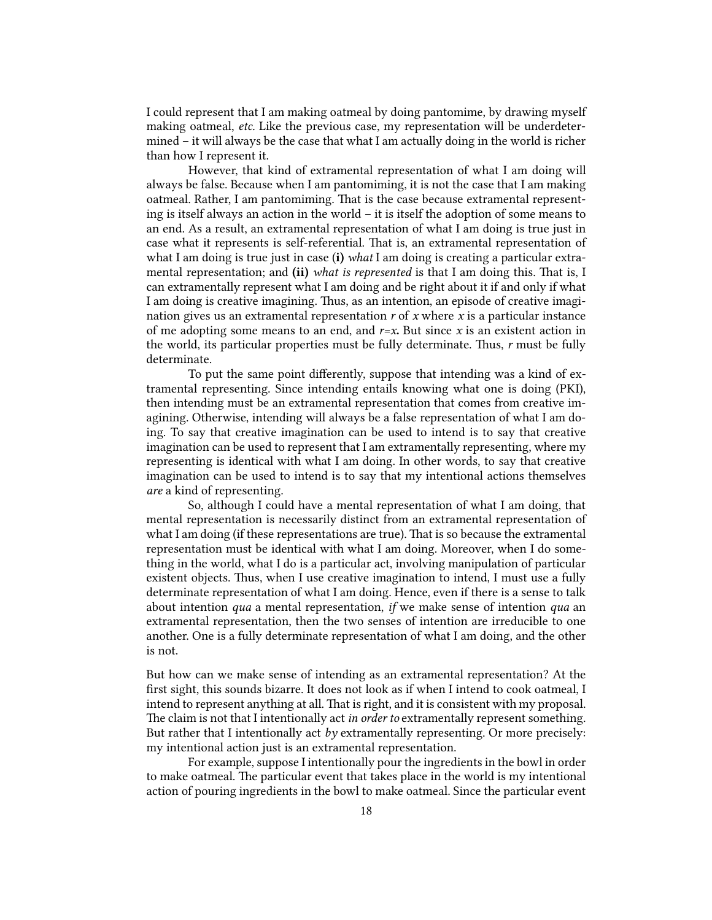I could represent that I am making oatmeal by doing pantomime, by drawing myself making oatmeal, *etc.* Like the previous case, my representation will be underdetermined – it will always be the case that what I am actually doing in the world is richer than how I represent it.

However, that kind of extramental representation of what I am doing will always be false. Because when I am pantomiming, it is not the case that I am making oatmeal. Rather, I am pantomiming. That is the case because extramental representing is itself always an action in the world – it is itself the adoption of some means to an end. As a result, an extramental representation of what I am doing is true just in case what it represents is self-referential. That is, an extramental representation of what I am doing is true just in case (i) *what* I am doing is creating a particular extramental representation; and (ii) *what is represented* is that I am doing this. That is, I can extramentally represent what I am doing and be right about it if and only if what I am doing is creative imagining. Thus, as an intention, an episode of creative imagination gives us an extramental representation *r* of *x* where *x* is a particular instance of me adopting some means to an end, and  $r=x$ . But since x is an existent action in the world, its particular properties must be fully determinate. Thus, *r* must be fully determinate.

To put the same point differently, suppose that intending was a kind of extramental representing. Since intending entails knowing what one is doing (PKI), then intending must be an extramental representation that comes from creative imagining. Otherwise, intending will always be a false representation of what I am doing. To say that creative imagination can be used to intend is to say that creative imagination can be used to represent that I am extramentally representing, where my representing is identical with what I am doing. In other words, to say that creative imagination can be used to intend is to say that my intentional actions themselves *are* a kind of representing.

So, although I could have a mental representation of what I am doing, that mental representation is necessarily distinct from an extramental representation of what I am doing (if these representations are true). That is so because the extramental representation must be identical with what I am doing. Moreover, when I do something in the world, what I do is a particular act, involving manipulation of particular existent objects. Thus, when I use creative imagination to intend, I must use a fully determinate representation of what I am doing. Hence, even if there is a sense to talk about intention *qua* a mental representation, *if* we make sense of intention *qua* an extramental representation, then the two senses of intention are irreducible to one another. One is a fully determinate representation of what I am doing, and the other is not.

But how can we make sense of intending as an extramental representation? At the first sight, this sounds bizarre. It does not look as if when I intend to cook oatmeal, I intend to represent anything at all. That is right, and it is consistent with my proposal. The claim is not that I intentionally act *in order to* extramentally represent something. But rather that I intentionally act *by* extramentally representing. Or more precisely: my intentional action just is an extramental representation.

For example, suppose I intentionally pour the ingredients in the bowl in order to make oatmeal. The particular event that takes place in the world is my intentional action of pouring ingredients in the bowl to make oatmeal. Since the particular event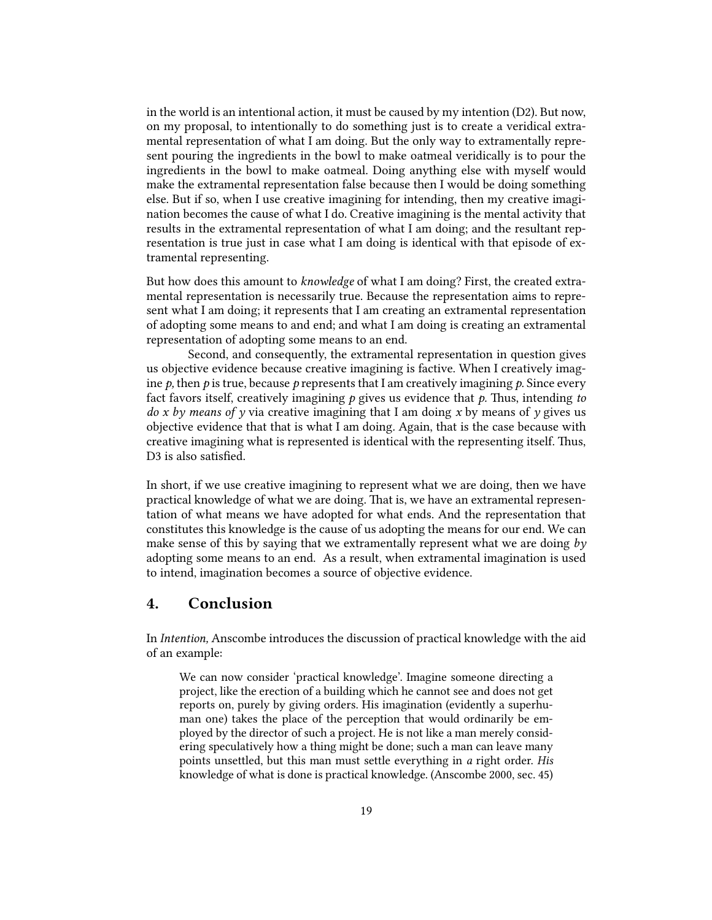in the world is an intentional action, it must be caused by my intention (D2). But now, on my proposal, to intentionally to do something just is to create a veridical extramental representation of what I am doing. But the only way to extramentally represent pouring the ingredients in the bowl to make oatmeal veridically is to pour the ingredients in the bowl to make oatmeal. Doing anything else with myself would make the extramental representation false because then I would be doing something else. But if so, when I use creative imagining for intending, then my creative imagination becomes the cause of what I do. Creative imagining is the mental activity that results in the extramental representation of what I am doing; and the resultant representation is true just in case what I am doing is identical with that episode of extramental representing.

But how does this amount to *knowledge* of what I am doing? First, the created extramental representation is necessarily true. Because the representation aims to represent what I am doing; it represents that I am creating an extramental representation of adopting some means to and end; and what I am doing is creating an extramental representation of adopting some means to an end.

Second, and consequently, the extramental representation in question gives us objective evidence because creative imagining is factive. When I creatively imagine  $p$ , then  $p$  is true, because  $p$  represents that I am creatively imagining  $p$ . Since every fact favors itself, creatively imagining  $p$  gives us evidence that  $p$ . Thus, intending *to do x by means of y* via creative imagining that I am doing *x* by means of *y* gives us objective evidence that that is what I am doing*.* Again, that is the case because with creative imagining what is represented is identical with the representing itself. Thus, D3 is also satisfied.

In short, if we use creative imagining to represent what we are doing, then we have practical knowledge of what we are doing. That is, we have an extramental representation of what means we have adopted for what ends. And the representation that constitutes this knowledge is the cause of us adopting the means for our end. We can make sense of this by saying that we extramentally represent what we are doing *by*  adopting some means to an end. As a result, when extramental imagination is used to intend, imagination becomes a source of objective evidence.

## 4. Conclusion

In *Intention,* Anscombe introduces the discussion of practical knowledge with the aid of an example:

We can now consider 'practical knowledge'. Imagine someone directing a project, like the erection of a building which he cannot see and does not get reports on, purely by giving orders. His imagination (evidently a superhuman one) takes the place of the perception that would ordinarily be employed by the director of such a project. He is not like a man merely considering speculatively how a thing might be done; such a man can leave many points unsettled, but this man must settle everything in *a* right order. *His* knowledge of what is done is practical knowledge. (Anscombe 2000, sec. 45)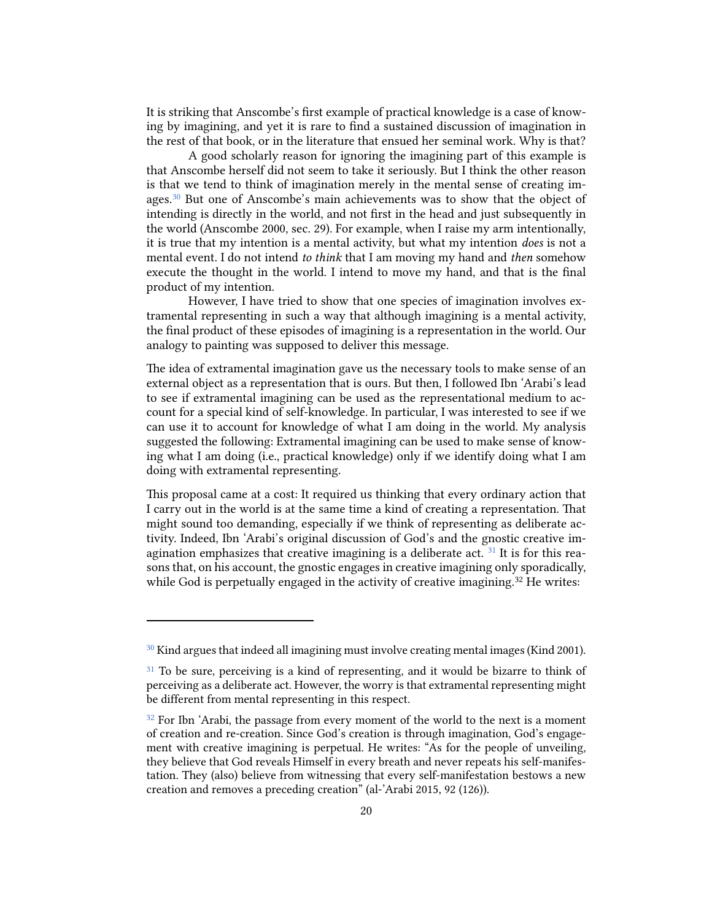It is striking that Anscombe's first example of practical knowledge is a case of knowing by imagining, and yet it is rare to find a sustained discussion of imagination in the rest of that book, or in the literature that ensued her seminal work. Why is that?

A good scholarly reason for ignoring the imagining part of this example is that Anscombe herself did not seem to take it seriously. But I think the other reason is that we tend to think of imagination merely in the mental sense of creating images.<sup>30</sup> But one of Anscombe's main achievements was to show that the object of intending is directly in the world, and not first in the head and just subsequently in the world (Anscombe 2000, sec. 29). For example, when I raise my arm intentionally, it is true that my intention is a mental activity, but what my intention *does* is not a mental event. I do not intend *to think* that I am moving my hand and *then* somehow execute the thought in the world. I intend to move my hand, and that is the final product of my intention.

However, I have tried to show that one species of imagination involves extramental representing in such a way that although imagining is a mental activity, the final product of these episodes of imagining is a representation in the world. Our analogy to painting was supposed to deliver this message.

The idea of extramental imagination gave us the necessary tools to make sense of an external object as a representation that is ours. But then, I followed Ibn 'Arabi's lead to see if extramental imagining can be used as the representational medium to account for a special kind of self-knowledge. In particular, I was interested to see if we can use it to account for knowledge of what I am doing in the world. My analysis suggested the following: Extramental imagining can be used to make sense of knowing what I am doing (i.e., practical knowledge) only if we identify doing what I am doing with extramental representing.

This proposal came at a cost: It required us thinking that every ordinary action that I carry out in the world is at the same time a kind of creating a representation. That might sound too demanding, especially if we think of representing as deliberate activity. Indeed, Ibn 'Arabi's original discussion of God's and the gnostic creative imagination emphasizes that creative imagining is a deliberate act.  $31$  It is for this reasons that, on his account, the gnostic engages in creative imagining only sporadically, while God is perpetually engaged in the activity of creative imagining.<sup>[32](#page-19-2)</sup> He writes:

<span id="page-19-0"></span> $30$  Kind argues that indeed all imagining must involve creating mental images (Kind 2001).

<span id="page-19-1"></span> $31$  To be sure, perceiving is a kind of representing, and it would be bizarre to think of perceiving as a deliberate act. However, the worry is that extramental representing might be different from mental representing in this respect.

<span id="page-19-2"></span><sup>&</sup>lt;sup>32</sup> For Ibn 'Arabi, the passage from every moment of the world to the next is a moment of creation and re-creation. Since God's creation is through imagination, God's engagement with creative imagining is perpetual. He writes: "As for the people of unveiling, they believe that God reveals Himself in every breath and never repeats his self-manifestation. They (also) believe from witnessing that every self-manifestation bestows a new creation and removes a preceding creation" (al-'Arabi 2015, 92 (126)).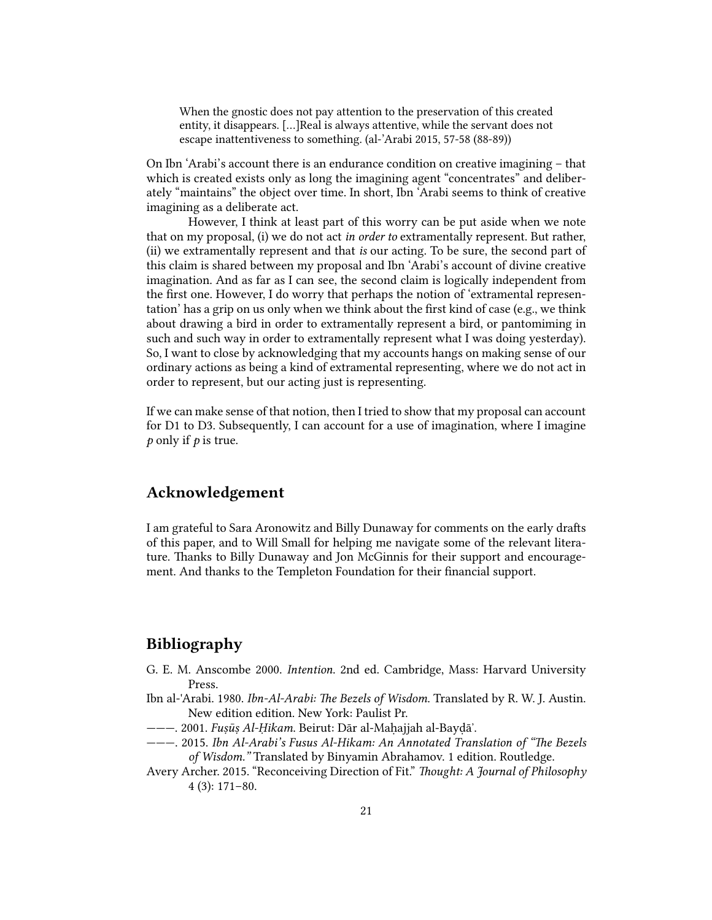When the gnostic does not pay attention to the preservation of this created entity, it disappears. […]Real is always attentive, while the servant does not escape inattentiveness to something. (al-'Arabi 2015, 57-58 (88-89))

On Ibn 'Arabi's account there is an endurance condition on creative imagining – that which is created exists only as long the imagining agent "concentrates" and deliberately "maintains" the object over time. In short, Ibn 'Arabi seems to think of creative imagining as a deliberate act.

However, I think at least part of this worry can be put aside when we note that on my proposal, (i) we do not act *in order to* extramentally represent. But rather, (ii) we extramentally represent and that *is* our acting. To be sure, the second part of this claim is shared between my proposal and Ibn 'Arabi's account of divine creative imagination. And as far as I can see, the second claim is logically independent from the first one. However, I do worry that perhaps the notion of 'extramental representation' has a grip on us only when we think about the first kind of case (e.g., we think about drawing a bird in order to extramentally represent a bird, or pantomiming in such and such way in order to extramentally represent what I was doing yesterday). So, I want to close by acknowledging that my accounts hangs on making sense of our ordinary actions as being a kind of extramental representing, where we do not act in order to represent, but our acting just is representing.

If we can make sense of that notion, then I tried to show that my proposal can account for D1 to D3. Subsequently, I can account for a use of imagination, where I imagine *p* only if *p* is true.

## Acknowledgement

I am grateful to Sara Aronowitz and Billy Dunaway for comments on the early drafts of this paper, and to Will Small for helping me navigate some of the relevant literature. Thanks to Billy Dunaway and Jon McGinnis for their support and encouragement. And thanks to the Templeton Foundation for their financial support.

# Bibliography

- G. E. M. Anscombe 2000. *Intention*. 2nd ed. Cambridge, Mass: Harvard University Press.
- Ibn al-'Arabi. 1980. *Ibn-Al-Arabi: The Bezels of Wisdom*. Translated by R. W. J. Austin. New edition edition. New York: Paulist Pr.
- ———. 2001. *Fuṣūṣ Al-Ḥikam*. Beirut: Dār al-Maḥajjah al-Bayḍā'.
- ———. 2015. *Ibn Al-Arabi's Fusus Al-Hikam: An Annotated Translation of "The Bezels of Wisdom."* Translated by Binyamin Abrahamov. 1 edition. Routledge.
- Avery Archer. 2015. "Reconceiving Direction of Fit." *Thought: A Journal of Philosophy* 4 (3): 171–80.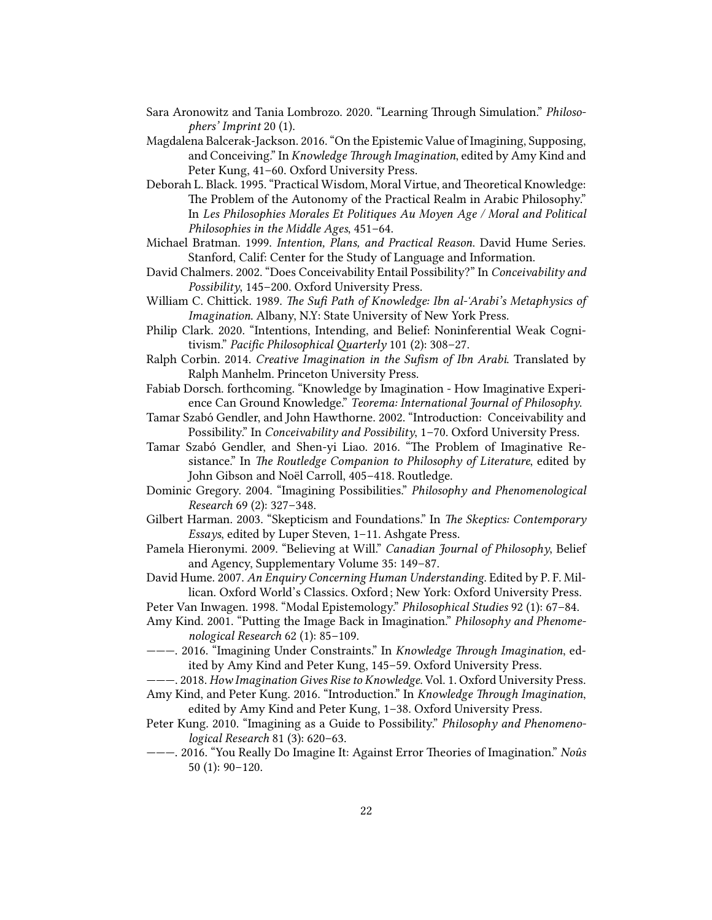- Sara Aronowitz and Tania Lombrozo. 2020. "Learning Through Simulation." *Philosophers' Imprint* 20 (1).
- Magdalena Balcerak-Jackson. 2016. "On the Epistemic Value of Imagining, Supposing, and Conceiving." In *Knowledge Through Imagination*, edited by Amy Kind and Peter Kung, 41–60. Oxford University Press.
- Deborah L. Black. 1995. "Practical Wisdom, Moral Virtue, and Theoretical Knowledge: The Problem of the Autonomy of the Practical Realm in Arabic Philosophy." In *Les Philosophies Morales Et Politiques Au Moyen Age / Moral and Political Philosophies in the Middle Ages*, 451–64.
- Michael Bratman. 1999. *Intention, Plans, and Practical Reason*. David Hume Series. Stanford, Calif: Center for the Study of Language and Information.
- David Chalmers. 2002. "Does Conceivability Entail Possibility?" In *Conceivability and Possibility*, 145–200. Oxford University Press.
- William C. Chittick. 1989. *The Sufi Path of Knowledge: Ibn al-'Arabi's Metaphysics of Imagination*. Albany, N.Y: State University of New York Press.
- Philip Clark. 2020. "Intentions, Intending, and Belief: Noninferential Weak Cognitivism." Pacific Philosophical Quarterly 101 (2): 308-27.
- Ralph Corbin. 2014. *Creative Imagination in the Sufism of Ibn Arabi*. Translated by Ralph Manhelm. Princeton University Press.
- Fabiab Dorsch. forthcoming. "Knowledge by Imagination How Imaginative Experience Can Ground Knowledge." *Teorema: International Journal of Philosophy*.
- Tamar Szabó Gendler, and John Hawthorne. 2002. "Introduction: Conceivability and Possibility." In *Conceivability and Possibility*, 1–70. Oxford University Press.
- Tamar Szabó Gendler, and Shen-yi Liao. 2016. "The Problem of Imaginative Resistance." In *The Routledge Companion to Philosophy of Literature*, edited by John Gibson and Noël Carroll, 405–418. Routledge.
- Dominic Gregory. 2004. "Imagining Possibilities." *Philosophy and Phenomenological Research* 69 (2): 327–348.
- Gilbert Harman. 2003. "Skepticism and Foundations." In *The Skeptics: Contemporary Essays*, edited by Luper Steven, 1–11. Ashgate Press.
- Pamela Hieronymi. 2009. "Believing at Will." *Canadian Journal of Philosophy*, Belief and Agency, Supplementary Volume 35: 149–87.
- David Hume. 2007. *An Enquiry Concerning Human Understanding*. Edited by P. F. Millican. Oxford World's Classics. Oxford ; New York: Oxford University Press.
- Peter Van Inwagen. 1998. "Modal Epistemology." *Philosophical Studies* 92 (1): 67–84.
- Amy Kind. 2001. "Putting the Image Back in Imagination." *Philosophy and Phenomenological Research* 62 (1): 85–109.
- -- 2016. "Imagining Under Constraints." In *Knowledge Through Imagination*, edited by Amy Kind and Peter Kung, 145–59. Oxford University Press.
- ———. 2018. *How Imagination Gives Rise to Knowledge*. Vol. 1. Oxford University Press.
- Amy Kind, and Peter Kung. 2016. "Introduction." In *Knowledge Through Imagination*, edited by Amy Kind and Peter Kung, 1–38. Oxford University Press.
- Peter Kung. 2010. "Imagining as a Guide to Possibility." *Philosophy and Phenomenological Research* 81 (3): 620–63.
- ———. 2016. "You Really Do Imagine It: Against Error Theories of Imagination." *Noûs* 50 (1): 90–120.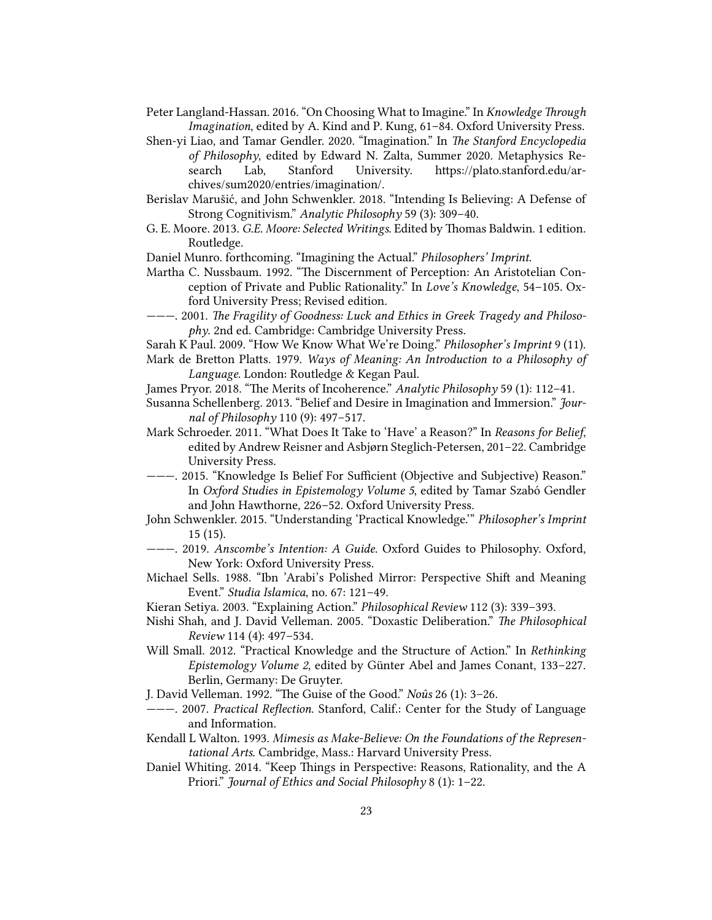Peter Langland-Hassan. 2016. "On Choosing What to Imagine." In *Knowledge Through Imagination*, edited by A. Kind and P. Kung, 61–84. Oxford University Press.

Shen-yi Liao, and Tamar Gendler. 2020. "Imagination." In *The Stanford Encyclopedia of Philosophy*, edited by Edward N. Zalta, Summer 2020. Metaphysics Research Lab, Stanford University. https://plato.stanford.edu/archives/sum2020/entries/imagination/.

Berislav Marušić, and John Schwenkler. 2018. "Intending Is Believing: A Defense of Strong Cognitivism." *Analytic Philosophy* 59 (3): 309–40.

G. E. Moore. 2013. *G.E. Moore: Selected Writings*. Edited by Thomas Baldwin. 1 edition. Routledge.

Daniel Munro. forthcoming. "Imagining the Actual." *Philosophers' Imprint*.

Martha C. Nussbaum. 1992. "The Discernment of Perception: An Aristotelian Conception of Private and Public Rationality." In *Love's Knowledge*, 54–105. Oxford University Press; Revised edition.

 $---$  2001. The Fragility of Goodness: Luck and Ethics in Greek Tragedy and Philoso*phy*. 2nd ed. Cambridge: Cambridge University Press.

Sarah K Paul. 2009. "How We Know What We're Doing." *Philosopher's Imprint* 9 (11).

Mark de Bretton Platts. 1979. *Ways of Meaning: An Introduction to a Philosophy of Language*. London: Routledge & Kegan Paul.

James Pryor. 2018. "The Merits of Incoherence." *Analytic Philosophy* 59 (1): 112-41.

- Susanna Schellenberg. 2013. "Belief and Desire in Imagination and Immersion." *Journal of Philosophy* 110 (9): 497–517.
- Mark Schroeder. 2011. "What Does It Take to 'Have' a Reason?" In *Reasons for Belief*, edited by Andrew Reisner and Asbjørn Steglich-Petersen, 201–22. Cambridge University Press.
- ———. 2015. "Knowledge Is Belief For Sufficient (Objective and Subjective) Reason." In *Oxford Studies in Epistemology Volume 5*, edited by Tamar Szabó Gendler and John Hawthorne, 226–52. Oxford University Press.
- John Schwenkler. 2015. "Understanding 'Practical Knowledge.'" *Philosopher's Imprint* 15 (15).
- ———. 2019. *Anscombe's Intention: A Guide*. Oxford Guides to Philosophy. Oxford, New York: Oxford University Press.
- Michael Sells. 1988. "Ibn 'Arabi's Polished Mirror: Perspective Shift and Meaning Event." *Studia Islamica*, no. 67: 121–49.
- Kieran Setiya. 2003. "Explaining Action." *Philosophical Review* 112 (3): 339–393.
- Nishi Shah, and J. David Velleman. 2005. "Doxastic Deliberation." *The Philosophical Review* 114 (4): 497–534.
- Will Small. 2012. "Practical Knowledge and the Structure of Action." In *Rethinking Epistemology Volume 2*, edited by Günter Abel and James Conant, 133–227. Berlin, Germany: De Gruyter.
- J. David Velleman. 1992. "The Guise of the Good." *Noûs* 26 (1): 3-26.
- ———. 2007. *Practical Reflection*. Stanford, Calif.: Center for the Study of Language and Information.
- Kendall L Walton. 1993. *Mimesis as Make-Believe: On the Foundations of the Representational Arts*. Cambridge, Mass.: Harvard University Press.
- Daniel Whiting. 2014. "Keep Things in Perspective: Reasons, Rationality, and the A Priori." *Journal of Ethics and Social Philosophy* 8 (1): 1–22.